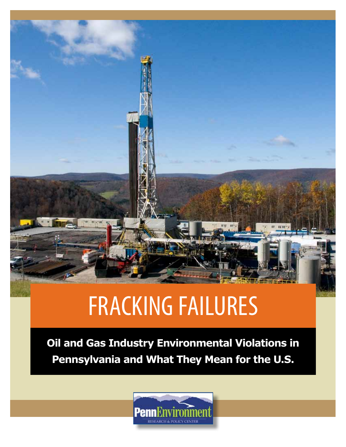# FRACKING FAILURES

**Oil and Gas Industry Environmental Violations in Pennsylvania and What They Mean for the U.S.**

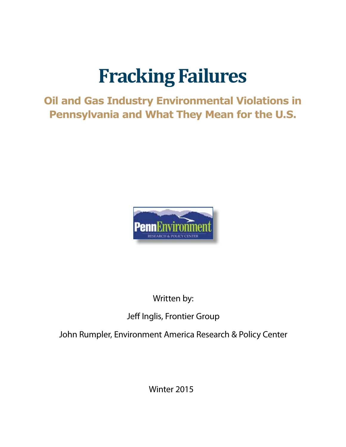### **Fracking Failures**

#### **Oil and Gas Industry Environmental Violations in Pennsylvania and What They Mean for the U.S.**



#### Written by:

#### Jeff Inglis, Frontier Group

John Rumpler, Environment America Research & Policy Center

Winter 2015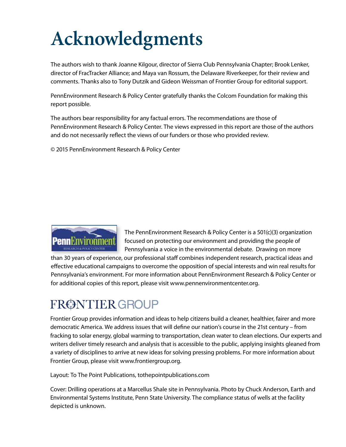## **Acknowledgments**

The authors wish to thank Joanne Kilgour, director of Sierra Club Pennsylvania Chapter; Brook Lenker, director of FracTracker Alliance; and Maya van Rossum, the Delaware Riverkeeper, for their review and comments. Thanks also to Tony Dutzik and Gideon Weissman of Frontier Group for editorial support.

PennEnvironment Research & Policy Center gratefully thanks the Colcom Foundation for making this report possible.

The authors bear responsibility for any factual errors. The recommendations are those of PennEnvironment Research & Policy Center. The views expressed in this report are those of the authors and do not necessarily reflect the views of our funders or those who provided review.

© 2015 PennEnvironment Research & Policy Center



The PennEnvironment Research & Policy Center is a 501(c)(3) organization focused on protecting our environment and providing the people of Pennsylvania a voice in the environmental debate. Drawing on more

than 30 years of experience, our professional staff combines independent research, practical ideas and effective educational campaigns to overcome the opposition of special interests and win real results for Pennsylvania's environment. For more information about PennEnvironment Research & Policy Center or for additional copies of this report, please visit www.pennenvironmentcenter.org.

### FRØNTIER GROUP

Frontier Group provides information and ideas to help citizens build a cleaner, healthier, fairer and more democratic America. We address issues that will define our nation's course in the 21st century – from fracking to solar energy, global warming to transportation, clean water to clean elections. Our experts and writers deliver timely research and analysis that is accessible to the public, applying insights gleaned from a variety of disciplines to arrive at new ideas for solving pressing problems. For more information about Frontier Group, please visit www.frontiergroup.org.

Layout: To The Point Publications, tothepointpublications.com

Cover: Drilling operations at a Marcellus Shale site in Pennsylvania. Photo by Chuck Anderson, Earth and Environmental Systems Institute, Penn State University. The compliance status of wells at the facility depicted is unknown.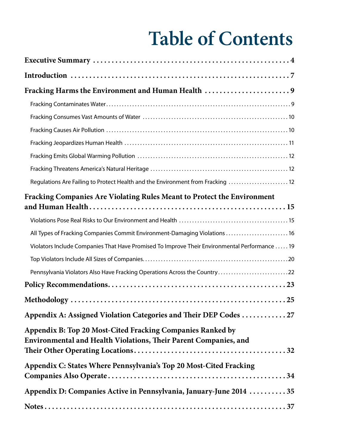### **Table of Contents**

| Fracking Harms the Environment and Human Health 9                                                                              |
|--------------------------------------------------------------------------------------------------------------------------------|
|                                                                                                                                |
|                                                                                                                                |
|                                                                                                                                |
|                                                                                                                                |
|                                                                                                                                |
|                                                                                                                                |
| Regulations Are Failing to Protect Health and the Environment from Fracking  12                                                |
| Fracking Companies Are Violating Rules Meant to Protect the Environment                                                        |
|                                                                                                                                |
| All Types of Fracking Companies Commit Environment-Damaging Violations  16                                                     |
| Violators Include Companies That Have Promised To Improve Their Environmental Performance  19                                  |
|                                                                                                                                |
| Pennsylvania Violators Also Have Fracking Operations Across the Country22                                                      |
|                                                                                                                                |
|                                                                                                                                |
| Appendix A: Assigned Violation Categories and Their DEP Codes  27                                                              |
| Appendix B: Top 20 Most-Cited Fracking Companies Ranked by<br>Environmental and Health Violations, Their Parent Companies, and |
| Appendix C: States Where Pennsylvania's Top 20 Most-Cited Fracking                                                             |
| Appendix D: Companies Active in Pennsylvania, January-June 2014  35                                                            |
|                                                                                                                                |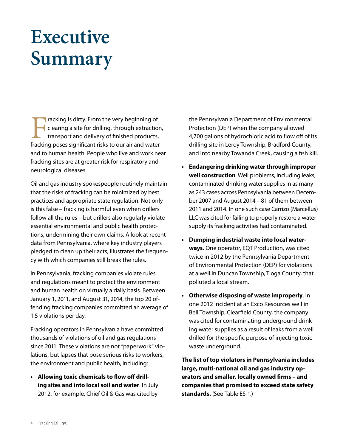### **Executive Summary**

Fracking is dirty. From the very beginning of<br>dearing a site for drilling, through extraction<br>transport and delivery of finished products,<br>fracking poses significant risks to our air and water clearing a site for drilling, through extraction, transport and delivery of finished products, fracking poses significant risks to our air and water and to human health. People who live and work near fracking sites are at greater risk for respiratory and neurological diseases.

Oil and gas industry spokespeople routinely maintain that the risks of fracking can be minimized by best practices and appropriate state regulation. Not only is this false – fracking is harmful even when drillers follow all the rules – but drillers also regularly violate essential environmental and public health protections, undermining their own claims. A look at recent data from Pennsylvania, where key industry players pledged to clean up their acts, illustrates the frequency with which companies still break the rules.

In Pennsylvania, fracking companies violate rules and regulations meant to protect the environment and human health on virtually a daily basis. Between January 1, 2011, and August 31, 2014, the top 20 offending fracking companies committed an average of 1.5 violations per day.

Fracking operators in Pennsylvania have committed thousands of violations of oil and gas regulations since 2011. These violations are not "paperwork" violations, but lapses that pose serious risks to workers, the environment and public health, including:

**• Allowing toxic chemicals to flow off drilling sites and into local soil and water**. In July 2012, for example, Chief Oil & Gas was cited by

the Pennsylvania Department of Environmental Protection (DEP) when the company allowed 4,700 gallons of hydrochloric acid to flow off of its drilling site in Leroy Township, Bradford County, and into nearby Towanda Creek, causing a fish kill.

- **• Endangering drinking waterthrough improper well construction**. Well problems, including leaks, contaminated drinking water supplies in as many as 243 cases across Pennsylvania between December 2007 and August 2014 – 81 of them between 2011 and 2014. In one such case Carrizo (Marcellus) LLC was cited for failing to properly restore a water supply its fracking activities had contaminated.
- **• Dumping industrial waste into local waterways.** One operator, EQT Production, was cited twice in 2012 by the Pennsylvania Department of Environmental Protection (DEP) for violations at a well in Duncan Township, Tioga County, that polluted a local stream.
- **• Otherwise disposing of waste improperly**. In one 2012 incident at an Exco Resources well in Bell Township, Clearfield County, the company was cited for contaminating underground drinking water supplies as a result of leaks from a well drilled for the specific purpose of injecting toxic waste underground.

**The list of top violators in Pennsylvania includes large, multi-national oil and gas industry operators and smaller, locally owned firms – and companies that promised to exceed state safety standards.** (See Table ES-1.)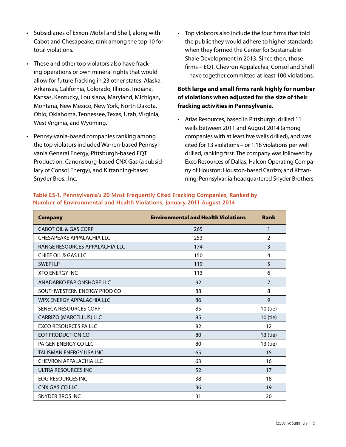- • Subsidiaries of Exxon-Mobil and Shell, along with Cabot and Chesapeake, rank among the top 10 for total violations.
- These and other top violators also have fracking operations or own mineral rights that would allow for future fracking in 23 other states: Alaska, Arkansas, California, Colorado, Illinois, Indiana, Kansas, Kentucky, Louisiana, Maryland, Michigan, Montana, New Mexico, New York, North Dakota, Ohio, Oklahoma, Tennessee, Texas, Utah, Virginia, West Virginia, and Wyoming.
- • Pennsylvania-based companies ranking among the top violators included Warren-based Pennsylvania General Energy, Pittsburgh-based EQT Production, Canonsburg-based CNX Gas (a subsidiary of Consol Energy), and Kittanning-based Snyder Bros., Inc.

• Top violators also include the four firms that told the public they would adhere to higher standards when they formed the Center for Sustainable Shale Development in 2013. Since then, those firms – EQT, Chevron Appalachia, Consol and Shell – have together committed at least 100 violations.

#### **Both large and small firms rank highly for number of violations when adjusted for the size of their fracking activities in Pennsylvania.**

• Atlas Resources, based in Pittsburgh, drilled 11 wells between 2011 and August 2014 (among companies with at least five wells drilled), and was cited for 13 violations – or 1.18 violations per well drilled, ranking first. The company was followed by Exco Resources of Dallas; Halcon Operating Company of Houston; Houston-based Carrizo; and Kittanning, Pennsylvania-headquartered Snyder Brothers.

| <b>Company</b>                 | <b>Environmental and Health Violations</b> | <b>Rank</b>    |
|--------------------------------|--------------------------------------------|----------------|
| CABOT OIL & GAS CORP           | 265                                        | 1              |
| CHESAPEAKE APPALACHIA LLC      | 253                                        | $\overline{2}$ |
| RANGE RESOURCES APPALACHIA LLC | 174                                        | 3              |
| <b>CHIEF OIL &amp; GAS LLC</b> | 150                                        | 4              |
| <b>SWFPLIP</b>                 | 119                                        | 5              |
| <b>XTO ENERGY INC</b>          | 113                                        | 6              |
| ANADARKO E&P ONSHORE LLC       | 92                                         | $\overline{7}$ |
| SOUTHWESTERN ENERGY PROD CO    | 88                                         | 8              |
| WPX ENERGY APPALACHIA LLC      | 86                                         | 9              |
| SENECA RESOURCES CORP          | 85                                         | 10 (tie)       |
| CARRIZO (MARCELLUS) LLC        | 85                                         | 10 (tie)       |
| EXCO RESOURCES PA LLC          | 82                                         | 12             |
| EQT PRODUCTION CO              | 80                                         | 13 (tie)       |
| PA GEN ENFRGY COLLC            | 80                                         | 13 (tie)       |
| TALISMAN ENERGY USA INC        | 65                                         | 15             |
| <b>CHEVRON APPALACHIA LLC</b>  | 63                                         | 16             |
| ULTRA RESOURCES INC            | 52                                         | 17             |
| <b>EOG RESOURCES INC</b>       | 38                                         | 18             |
| CNX GAS CO LLC                 | 36                                         | 19             |
| <b>SNYDER BROS INC</b>         | 31                                         | 20             |

**Table ES-1. Pennsylvania's 20 Most Frequently Cited Fracking Companies, Ranked by Number of Environmental and Health Violations, January 2011-August 2014**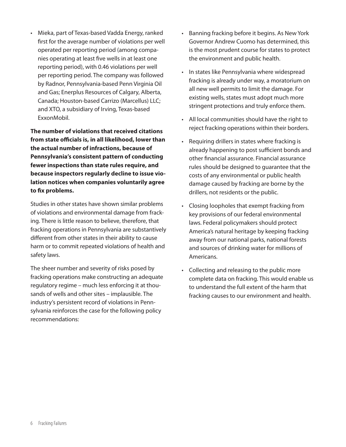• Mieka, part of Texas-based Vadda Energy, ranked first for the average number of violations per well operated per reporting period (among companies operating at least five wells in at least one reporting period), with 0.46 violations per well per reporting period. The company was followed by Radnor, Pennsylvania-based Penn Virginia Oil and Gas; Enerplus Resources of Calgary, Alberta, Canada; Houston-based Carrizo (Marcellus) LLC; and XTO, a subsidiary of Irving, Texas-based ExxonMobil.

**The number of violations that received citations from state officials is, in all likelihood, lower than the actual number of infractions, because of Pennsylvania's consistent pattern of conducting fewer inspections than state rules require, and because inspectors regularly decline to issue violation notices when companies voluntarily agree to fix problems.**

Studies in other states have shown similar problems of violations and environmental damage from fracking. There is little reason to believe, therefore, that fracking operations in Pennsylvania are substantively different from other states in their ability to cause harm or to commit repeated violations of health and safety laws.

The sheer number and severity of risks posed by fracking operations make constructing an adequate regulatory regime – much less enforcing it at thousands of wells and other sites – implausible. The industry's persistent record of violations in Pennsylvania reinforces the case for the following policy recommendations:

- Banning fracking before it begins. As New York Governor Andrew Cuomo has determined, this is the most prudent course for states to protect the environment and public health.
- In states like Pennsylvania where widespread fracking is already under way, a moratorium on all new well permits to limit the damage. For existing wells, states must adopt much more stringent protections and truly enforce them.
- • All local communities should have the right to reject fracking operations within their borders.
- Requiring drillers in states where fracking is already happening to post sufficient bonds and other financial assurance. Financial assurance rules should be designed to guarantee that the costs of any environmental or public health damage caused by fracking are borne by the drillers, not residents or the public.
- • Closing loopholes that exempt fracking from key provisions of our federal environmental laws. Federal policymakers should protect America's natural heritage by keeping fracking away from our national parks, national forests and sources of drinking water for millions of Americans.
- • Collecting and releasing to the public more complete data on fracking. This would enable us to understand the full extent of the harm that fracking causes to our environment and health.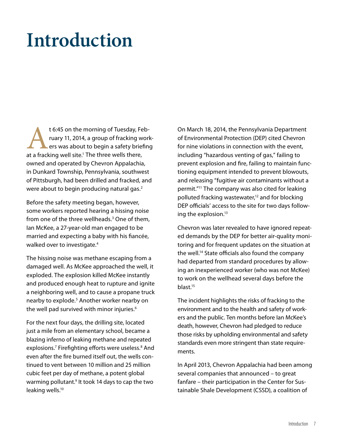### **Introduction**

t 6:45 on the morning of Tuesday, Feb-<br>
ruary 11, 2014, a group of fracking worl<br>
ers was about to begin a safety briefind<br>
at a fracking well site.<sup>1</sup> The three wells there, ruary 11, 2014, a group of fracking workers was about to begin a safety briefing owned and operated by Chevron Appalachia, in Dunkard Township, Pennsylvania, southwest of Pittsburgh, had been drilled and fracked, and were about to begin producing natural gas.<sup>2</sup>

Before the safety meeting began, however, some workers reported hearing a hissing noise from one of the three wellheads.<sup>3</sup> One of them, Ian McKee, a 27-year-old man engaged to be married and expecting a baby with his fiancée, walked over to investigate.<sup>4</sup>

The hissing noise was methane escaping from a damaged well. As McKee approached the well, it exploded. The explosion killed McKee instantly and produced enough heat to rupture and ignite a neighboring well, and to cause a propane truck nearby to explode.<sup>5</sup> Another worker nearby on the well pad survived with minor injuries.<sup>6</sup>

For the next four days, the drilling site, located just a mile from an elementary school, became a blazing inferno of leaking methane and repeated explosions.<sup>7</sup> Firefighting efforts were useless.<sup>8</sup> And even after the fire burned itself out, the wells continued to vent between 10 million and 25 million cubic feet per day of methane, a potent global warming pollutant.<sup>9</sup> It took 14 days to cap the two leaking wells.<sup>10</sup>

On March 18, 2014, the Pennsylvania Department of Environmental Protection (DEP) cited Chevron for nine violations in connection with the event, including "hazardous venting of gas," failing to prevent explosion and fire, failing to maintain functioning equipment intended to prevent blowouts, and releasing "fugitive air contaminants without a permit."11 The company was also cited for leaking polluted fracking wastewater,<sup>12</sup> and for blocking DEP officials' access to the site for two days following the explosion.<sup>13</sup>

Chevron was later revealed to have ignored repeated demands by the DEP for better air-quality monitoring and for frequent updates on the situation at the well.14 State officials also found the company had departed from standard procedures by allowing an inexperienced worker (who was not McKee) to work on the wellhead several days before the blast.15

The incident highlights the risks of fracking to the environment and to the health and safety of workers and the public. Ten months before Ian McKee's death, however, Chevron had pledged to reduce those risks by upholding environmental and safety standards even more stringent than state requirements.

In April 2013, Chevron Appalachia had been among several companies that announced – to great fanfare – their participation in the Center for Sustainable Shale Development (CSSD), a coalition of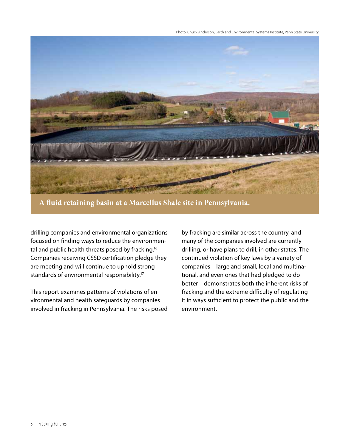

**A fluid retaining basin at a Marcellus Shale site in Pennsylvania.**

drilling companies and environmental organizations focused on finding ways to reduce the environmental and public health threats posed by fracking.<sup>16</sup> Companies receiving CSSD certification pledge they are meeting and will continue to uphold strong standards of environmental responsibility.<sup>17</sup>

This report examines patterns of violations of environmental and health safeguards by companies involved in fracking in Pennsylvania. The risks posed

by fracking are similar across the country, and many of the companies involved are currently drilling, or have plans to drill, in other states. The continued violation of key laws by a variety of companies – large and small, local and multinational, and even ones that had pledged to do better – demonstrates both the inherent risks of fracking and the extreme difficulty of regulating it in ways sufficient to protect the public and the environment.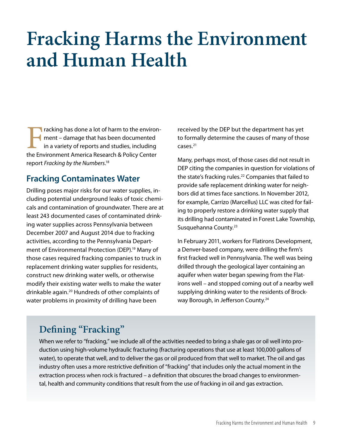### **Fracking Harms the Environment and Human Health**

Fracking has done a lot of harm to the environ-<br>ment – damage that has been documented<br>in a variety of reports and studies, including<br>the Environment America Research & Policy Center ment – damage that has been documented in a variety of reports and studies, including the Environment America Research & Policy Center report *Fracking by the Numbers*. 18

#### **Fracking Contaminates Water**

Drilling poses major risks for our water supplies, including potential underground leaks of toxic chemicals and contamination of groundwater. There are at least 243 documented cases of contaminated drinking water supplies across Pennsylvania between December 2007 and August 2014 due to fracking activities, according to the Pennsylvania Department of Environmental Protection (DEP).<sup>19</sup> Many of those cases required fracking companies to truck in replacement drinking water supplies for residents, construct new drinking water wells, or otherwise modify their existing water wells to make the water drinkable again.20 Hundreds of other complaints of water problems in proximity of drilling have been

received by the DEP but the department has yet to formally determine the causes of many of those cases.21

Many, perhaps most, of those cases did not result in DEP citing the companies in question for violations of the state's fracking rules.<sup>22</sup> Companies that failed to provide safe replacement drinking water for neighbors did at times face sanctions. In November 2012, for example, Carrizo (Marcellus) LLC was cited for failing to properly restore a drinking water supply that its drilling had contaminated in Forest Lake Township, Susquehanna County.<sup>23</sup>

In February 2011, workers for Flatirons Development, a Denver-based company, were drilling the firm's first fracked well in Pennsylvania. The well was being drilled through the geological layer containing an aquifer when water began spewing from the Flatirons well – and stopped coming out of a nearby well supplying drinking water to the residents of Brockway Borough, in Jefferson County.<sup>24</sup>

#### **Defining "Fracking"**

When we refer to "fracking," we include all of the activities needed to bring a shale gas or oil well into production using high-volume hydraulic fracturing (fracturing operations that use at least 100,000 gallons of water), to operate that well, and to deliver the gas or oil produced from that well to market. The oil and gas industry often uses a more restrictive definition of "fracking" that includes only the actual moment in the extraction process when rock is fractured – a definition that obscures the broad changes to environmental, health and community conditions that result from the use of fracking in oil and gas extraction.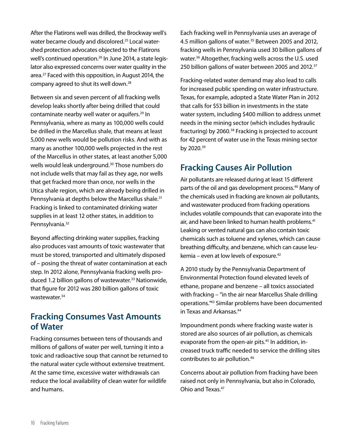After the Flatirons well was drilled, the Brockway well's water became cloudy and discolored.<sup>25</sup> Local watershed protection advocates objected to the Flatirons well's continued operation.<sup>26</sup> In June 2014, a state legislator also expressed concerns over water quality in the area.27 Faced with this opposition, in August 2014, the company agreed to shut its well down.<sup>28</sup>

Between six and seven percent of all fracking wells develop leaks shortly after being drilled that could contaminate nearby well water or aquifers.29 In Pennsylvania, where as many as 100,000 wells could be drilled in the Marcellus shale, that means at least 5,000 new wells would be pollution risks. And with as many as another 100,000 wells projected in the rest of the Marcellus in other states, at least another 5,000 wells would leak underground.<sup>30</sup> Those numbers do not include wells that may fail as they age, nor wells that get fracked more than once, nor wells in the Utica shale region, which are already being drilled in Pennsylvania at depths below the Marcellus shale.<sup>31</sup> Fracking is linked to contaminated drinking water supplies in at least 12 other states, in addition to Pennsylvania.<sup>32</sup>

Beyond affecting drinking water supplies, fracking also produces vast amounts of toxic wastewater that must be stored, transported and ultimately disposed of – posing the threat of water contamination at each step. In 2012 alone, Pennsylvania fracking wells produced 1.2 billion gallons of wastewater.<sup>33</sup> Nationwide, that figure for 2012 was 280 billion gallons of toxic wastewater.34

#### **Fracking Consumes Vast Amounts of Water**

Fracking consumes between tens of thousands and millions of gallons of water per well, turning it into a toxic and radioactive soup that cannot be returned to the natural water cycle without extensive treatment. At the same time, excessive water withdrawals can reduce the local availability of clean water for wildlife and humans.

Each fracking well in Pennsylvania uses an average of 4.5 million gallons of water.<sup>35</sup> Between 2005 and 2012, fracking wells in Pennsylvania used 30 billion gallons of water.36 Altogether, fracking wells across the U.S. used 250 billion gallons of water between 2005 and 2012.<sup>37</sup>

Fracking-related water demand may also lead to calls for increased public spending on water infrastructure. Texas, for example, adopted a State Water Plan in 2012 that calls for \$53 billion in investments in the state water system, including \$400 million to address unmet needs in the mining sector (which includes hydraulic fracturing) by 2060.38 Fracking is projected to account for 42 percent of water use in the Texas mining sector by 2020.39

#### **Fracking Causes Air Pollution**

Air pollutants are released during at least 15 different parts of the oil and gas development process.40 Many of the chemicals used in fracking are known air pollutants, and wastewater produced from fracking operations includes volatile compounds that can evaporate into the air, and have been linked to human health problems.<sup>41</sup> Leaking or vented natural gas can also contain toxic chemicals such as toluene and xylenes, which can cause breathing difficulty, and benzene, which can cause leukemia – even at low levels of exposure.42

A 2010 study by the Pennsylvania Department of Environmental Protection found elevated levels of ethane, propane and benzene – all toxics associated with fracking – "in the air near Marcellus Shale drilling operations."43 Similar problems have been documented in Texas and Arkansas.44

Impoundment ponds where fracking waste water is stored are also sources of air pollution, as chemicals evaporate from the open-air pits.<sup>45</sup> In addition, increased truck traffic needed to service the drilling sites contributes to air pollution.46

Concerns about air pollution from fracking have been raised not only in Pennsylvania, but also in Colorado, Ohio and Texas.47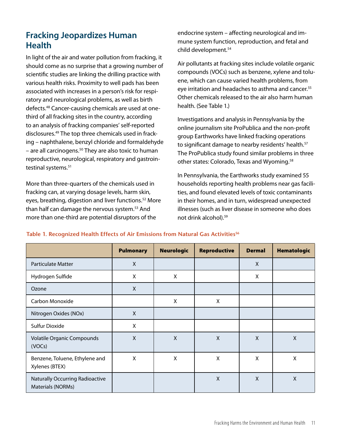#### **Fracking Jeopardizes Human Health**

In light of the air and water pollution from fracking, it should come as no surprise that a growing number of scientific studies are linking the drilling practice with various health risks. Proximity to well pads has been associated with increases in a person's risk for respiratory and neurological problems, as well as birth defects.48 Cancer-causing chemicals are used at onethird of all fracking sites in the country, according to an analysis of fracking companies' self-reported disclosures.49 The top three chemicals used in fracking – naphthalene, benzyl chloride and formaldehyde – are all carcinogens. $50$  They are also toxic to human reproductive, neurological, respiratory and gastrointestinal systems.<sup>51</sup>

More than three-quarters of the chemicals used in fracking can, at varying dosage levels, harm skin, eyes, breathing, digestion and liver functions.52 More than half can damage the nervous system.<sup>53</sup> And more than one-third are potential disruptors of the

endocrine system – affecting neurological and immune system function, reproduction, and fetal and child development.54

Air pollutants at fracking sites include volatile organic compounds (VOCs) such as benzene, xylene and toluene, which can cause varied health problems, from eye irritation and headaches to asthma and cancer.<sup>55</sup> Other chemicals released to the air also harm human health. (See Table 1.)

Investigations and analysis in Pennsylvania by the online journalism site ProPublica and the non-profit group Earthworks have linked fracking operations to significant damage to nearby residents' health.<sup>57</sup> The ProPublica study found similar problems in three other states: Colorado, Texas and Wyoming.<sup>58</sup>

In Pennsylvania, the Earthworks study examined 55 households reporting health problems near gas facilities, and found elevated levels of toxic contaminants in their homes, and in turn, widespread unexpected illnesses (such as liver disease in someone who does not drink alcohol).59

Pulmonary | Neurologic | Reproductive | Dermal | Hematologic Particulate Matter **National Community Community Community** A Section A National A National A National A National A Hydrogen Sulfide **X** X X X X X Ozone X Carbon Monoxide X X Nitrogen Oxides (NOx) X Sulfur Dioxide X Volatile Organic Compounds (VOCs)  $X$  X X X X X Benzene, Toluene, Ethylene and Xylenes (BTEX)  $X$  x x x x x Naturally Occurring Radioactive Materials (NORMs)  $X$  |  $X$  |  $X$ 

#### Table 1. Recognized Health Effects of Air Emissions from Natural Gas Activities<sup>56</sup>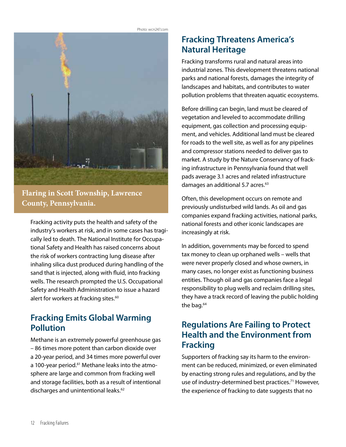

**Flaring in Scott Township, Lawrence County, Pennsylvania.** 

Fracking activity puts the health and safety of the industry's workers at risk, and in some cases has tragically led to death. The National Institute for Occupational Safety and Health has raised concerns about the risk of workers contracting lung disease after inhaling silica dust produced during handling of the sand that is injected, along with fluid, into fracking wells. The research prompted the U.S. Occupational Safety and Health Administration to issue a hazard alert for workers at fracking sites.<sup>60</sup>

#### **Fracking Emits Global Warming Pollution**

Methane is an extremely powerful greenhouse gas – 86 times more potent than carbon dioxide over a 20-year period, and 34 times more powerful over a 100-year period.<sup>61</sup> Methane leaks into the atmosphere are large and common from fracking well and storage facilities, both as a result of intentional discharges and unintentional leaks.<sup>62</sup>

#### **Fracking Threatens America's Natural Heritage**

Fracking transforms rural and natural areas into industrial zones. This development threatens national parks and national forests, damages the integrity of landscapes and habitats, and contributes to water pollution problems that threaten aquatic ecosystems.

Before drilling can begin, land must be cleared of vegetation and leveled to accommodate drilling equipment, gas collection and processing equipment, and vehicles. Additional land must be cleared for roads to the well site, as well as for any pipelines and compressor stations needed to deliver gas to market. A study by the Nature Conservancy of fracking infrastructure in Pennsylvania found that well pads average 3.1 acres and related infrastructure damages an additional 5.7 acres.<sup>63</sup>

Often, this development occurs on remote and previously undisturbed wild lands. As oil and gas companies expand fracking activities, national parks, national forests and other iconic landscapes are increasingly at risk.

In addition, governments may be forced to spend tax money to clean up orphaned wells – wells that were never properly closed and whose owners, in many cases, no longer exist as functioning business entities. Though oil and gas companies face a legal responsibility to plug wells and reclaim drilling sites, they have a track record of leaving the public holding the bag.<sup>64</sup>

#### **Regulations Are Failing to Protect Health and the Environment from Fracking**

Supporters of fracking say its harm to the environment can be reduced, minimized, or even eliminated by enacting strong rules and regulations, and by the use of industry-determined best practices.<sup>71</sup> However, the experience of fracking to date suggests that no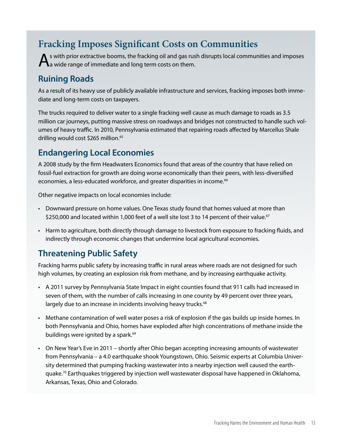#### **Fracking Imposes Significant Costs on Communities**

 $\bigwedge$ s with prior extractive booms, the fracking oil and gas rush disrupts local communities and imposes a wide range of immediate and long term costs on them.

#### **Ruining Roads**

As a result of its heavy use of publicly available infrastructure and services, fracking imposes both immediate and long-term costs on taxpayers.

The trucks required to deliver water to a single fracking well cause as much damage to roads as 3.5 million car journeys, putting massive stress on roadways and bridges not constructed to handle such volumes of heavy traffic. In 2010, Pennsylvania estimated that repairing roads affected by Marcellus Shale drilling would cost \$265 million.<sup>65</sup>

#### **Endangering Local Economies**

A 2008 study by the firm Headwaters Economics found that areas of the country that have relied on fossil-fuel extraction for growth are doing worse economically than their peers, with less-diversified economies, a less-educated workforce, and greater disparities in income.<sup>66</sup>

Other negative impacts on local economies include:

- • Downward pressure on home values. One Texas study found that homes valued at more than \$250,000 and located within 1,000 feet of a well site lost 3 to 14 percent of their value.<sup>67</sup>
- • Harm to agriculture, both directly through damage to livestock from exposure to fracking fluids, and indirectly through economic changes that undermine local agricultural economies.

#### **Threatening Public Safety**

Fracking harms public safety by increasing traffic in rural areas where roads are not designed for such high volumes, by creating an explosion risk from methane, and by increasing earthquake activity.

- • A 2011 survey by Pennsylvania State Impact in eight counties found that 911 calls had increased in seven of them, with the number of calls increasing in one county by 49 percent over three years, largely due to an increase in incidents involving heavy trucks.<sup>68</sup>
- • Methane contamination of well water poses a risk of explosion if the gas builds up inside homes. In both Pennsylvania and Ohio, homes have exploded after high concentrations of methane inside the buildings were ignited by a spark.<sup>69</sup>
- • On New Year's Eve in 2011 shortly after Ohio began accepting increasing amounts of wastewater from Pennsylvania – a 4.0 earthquake shook Youngstown, Ohio. Seismic experts at Columbia University determined that pumping fracking wastewater into a nearby injection well caused the earthquake.<sup>70</sup> Earthquakes triggered by injection well wastewater disposal have happened in Oklahoma, Arkansas, Texas, Ohio and Colorado.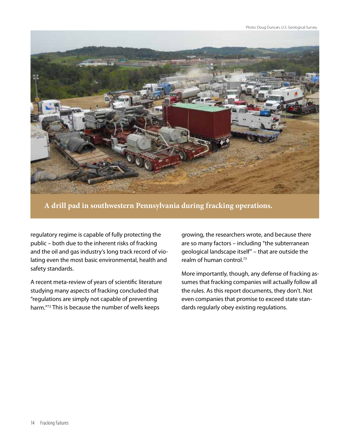

**A drill pad in southwestern Pennsylvania during fracking operations.** 

regulatory regime is capable of fully protecting the public – both due to the inherent risks of fracking and the oil and gas industry's long track record of violating even the most basic environmental, health and safety standards.

A recent meta-review of years of scientific literature studying many aspects of fracking concluded that "regulations are simply not capable of preventing harm."72 This is because the number of wells keeps

growing, the researchers wrote, and because there are so many factors – including "the subterranean geological landscape itself" – that are outside the realm of human control.73

More importantly, though, any defense of fracking assumes that fracking companies will actually follow all the rules. As this report documents, they don't. Not even companies that promise to exceed state standards regularly obey existing regulations.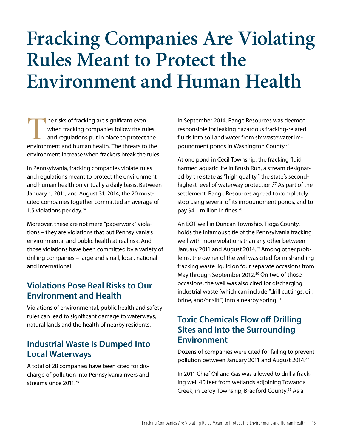### **Fracking Companies Are Violating Rules Meant to Protect the Environment and Human Health**

The risks of fracking are significant even<br>
when fracking companies follow the rules<br>
and regulations put in place to protect the<br>
environment and human health. The threats to the when fracking companies follow the rules and regulations put in place to protect the environment increase when frackers break the rules.

In Pennsylvania, fracking companies violate rules and regulations meant to protect the environment and human health on virtually a daily basis. Between January 1, 2011, and August 31, 2014, the 20 mostcited companies together committed an average of 1.5 violations per day.<sup>74</sup>

Moreover, these are not mere "paperwork" violations – they are violations that put Pennsylvania's environmental and public health at real risk. And those violations have been committed by a variety of drilling companies – large and small, local, national and international.

#### **Violations Pose Real Risks to Our Environment and Health**

Violations of environmental, public health and safety rules can lead to significant damage to waterways, natural lands and the health of nearby residents.

#### **Industrial Waste Is Dumped Into Local Waterways**

A total of 28 companies have been cited for discharge of pollution into Pennsylvania rivers and streams since 2011.75

In September 2014, Range Resources was deemed responsible for leaking hazardous fracking-related fluids into soil and water from six wastewater impoundment ponds in Washington County.76

At one pond in Cecil Township, the fracking fluid harmed aquatic life in Brush Run, a stream designated by the state as "high quality," the state's secondhighest level of waterway protection.<sup>77</sup> As part of the settlement, Range Resources agreed to completely stop using several of its impoundment ponds, and to pay \$4.1 million in fines.78

An EQT well in Duncan Township, Tioga County, holds the infamous title of the Pennsylvania fracking well with more violations than any other between January 2011 and August 2014.<sup>79</sup> Among other problems, the owner of the well was cited for mishandling fracking waste liquid on four separate occasions from May through September 2012.<sup>80</sup> On two of those occasions, the well was also cited for discharging industrial waste (which can include "drill cuttings, oil, brine, and/or silt") into a nearby spring.<sup>81</sup>

#### **Toxic Chemicals Flow off Drilling Sites and Into the Surrounding Environment**

Dozens of companies were cited for failing to prevent pollution between January 2011 and August 2014.<sup>82</sup>

In 2011 Chief Oil and Gas was allowed to drill a fracking well 40 feet from wetlands adjoining Towanda Creek, in Leroy Township, Bradford County.<sup>83</sup> As a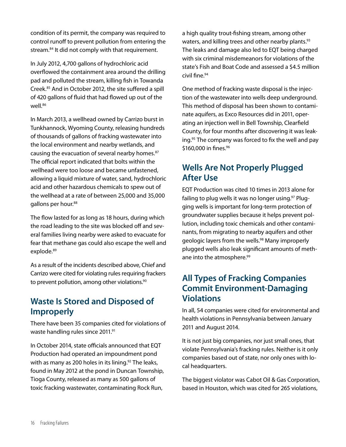condition of its permit, the company was required to control runoff to prevent pollution from entering the stream.<sup>84</sup> It did not comply with that requirement.

In July 2012, 4,700 gallons of hydrochloric acid overflowed the containment area around the drilling pad and polluted the stream, killing fish in Towanda Creek.85 And in October 2012, the site suffered a spill of 420 gallons of fluid that had flowed up out of the well.<sup>86</sup>

In March 2013, a wellhead owned by Carrizo burst in Tunkhannock, Wyoming County, releasing hundreds of thousands of gallons of fracking wastewater into the local environment and nearby wetlands, and causing the evacuation of several nearby homes.<sup>87</sup> The official report indicated that bolts within the wellhead were too loose and became unfastened, allowing a liquid mixture of water, sand, hydrochloric acid and other hazardous chemicals to spew out of the wellhead at a rate of between 25,000 and 35,000 gallons per hour.<sup>88</sup>

The flow lasted for as long as 18 hours, during which the road leading to the site was blocked off and several families living nearby were asked to evacuate for fear that methane gas could also escape the well and explode.<sup>89</sup>

As a result of the incidents described above, Chief and Carrizo were cited for violating rules requiring frackers to prevent pollution, among other violations.<sup>90</sup>

#### **Waste Is Stored and Disposed of Improperly**

There have been 35 companies cited for violations of waste handling rules since 2011.91

In October 2014, state officials announced that EQT Production had operated an impoundment pond with as many as 200 holes in its lining. $92$  The leaks, found in May 2012 at the pond in Duncan Township, Tioga County, released as many as 500 gallons of toxic fracking wastewater, contaminating Rock Run,

a high quality trout-fishing stream, among other waters, and killing trees and other nearby plants.<sup>93</sup> The leaks and damage also led to EQT being charged with six criminal misdemeanors for violations of the state's Fish and Boat Code and assessed a \$4.5 million civil fine.94

One method of fracking waste disposal is the injection of the wastewater into wells deep underground. This method of disposal has been shown to contaminate aquifers, as Exco Resources did in 2011, operating an injection well in Bell Township, Clearfield County, for four months after discovering it was leaking.<sup>95</sup> The company was forced to fix the well and pay \$160,000 in fines.<sup>96</sup>

#### **Wells Are Not Properly Plugged After Use**

EQT Production was cited 10 times in 2013 alone for failing to plug wells it was no longer using.<sup>97</sup> Plugging wells is important for long-term protection of groundwater supplies because it helps prevent pollution, including toxic chemicals and other contaminants, from migrating to nearby aquifers and other geologic layers from the wells.<sup>98</sup> Many improperly plugged wells also leak significant amounts of methane into the atmosphere.<sup>99</sup>

#### **All Types of Fracking Companies Commit Environment-Damaging Violations**

In all, 54 companies were cited for environmental and health violations in Pennsylvania between January 2011 and August 2014.

It is not just big companies, nor just small ones, that violate Pennsylvania's fracking rules. Neither is it only companies based out of state, nor only ones with local headquarters.

The biggest violator was Cabot Oil & Gas Corporation, based in Houston, which was cited for 265 violations,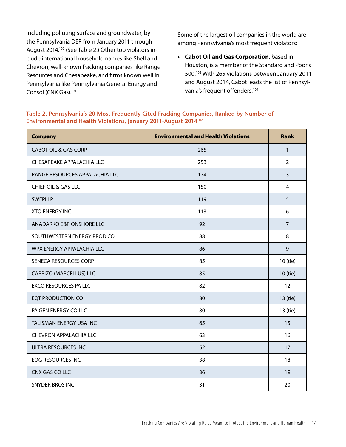including polluting surface and groundwater, by the Pennsylvania DEP from January 2011 through August 2014.100 (See Table 2.) Other top violators include international household names like Shell and Chevron, well-known fracking companies like Range Resources and Chesapeake, and firms known well in Pennsylvania like Pennsylvania General Energy and Consol (CNX Gas).<sup>101</sup>

Some of the largest oil companies in the world are among Pennsylvania's most frequent violators:

**• Cabot Oil and Gas Corporation**, based in Houston, is a member of the Standard and Poor's 500.103 With 265 violations between January 2011 and August 2014, Cabot leads the list of Pennsylvania's frequent offenders.<sup>104</sup>

#### **Table 2. Pennsylvania's 20 Most Frequently Cited Fracking Companies, Ranked by Number of Environmental and Health Violations, January 2011-August 2014**102

| <b>Company</b>                  | <b>Environmental and Health Violations</b> | <b>Rank</b>    |
|---------------------------------|--------------------------------------------|----------------|
| <b>CABOT OIL &amp; GAS CORP</b> | 265                                        | $\mathbf{1}$   |
| CHESAPEAKE APPALACHIA LLC       | 253                                        | $\overline{2}$ |
| RANGE RESOURCES APPALACHIA LLC  | 174                                        | 3              |
| CHIEF OIL & GAS LLC             | 150                                        | $\overline{4}$ |
| <b>SWEPILP</b>                  | 119                                        | 5              |
| <b>XTO ENERGY INC</b>           | 113                                        | 6              |
| ANADARKO E&P ONSHORE LLC        | 92                                         | $\overline{7}$ |
| SOUTHWESTERN ENERGY PROD CO     | 88                                         | 8              |
| WPX ENERGY APPALACHIA LLC       | 86                                         | 9              |
| SENECA RESOURCES CORP           | 85                                         | 10 (tie)       |
| CARRIZO (MARCELLUS) LLC         | 85                                         | 10 (tie)       |
| EXCO RESOURCES PA LLC           | 82                                         | 12             |
| <b>EQT PRODUCTION CO</b>        | 80                                         | 13 (tie)       |
| PA GEN ENERGY CO LLC            | 80                                         | 13 (tie)       |
| TALISMAN ENERGY USA INC         | 65                                         | 15             |
| <b>CHEVRON APPALACHIA LLC</b>   | 63                                         | 16             |
| <b>ULTRA RESOURCES INC</b>      | 52                                         | 17             |
| <b>EOG RESOURCES INC</b>        | 38                                         | 18             |
| CNX GAS CO LLC                  | 36                                         | 19             |
| <b>SNYDER BROS INC</b>          | 31                                         | 20             |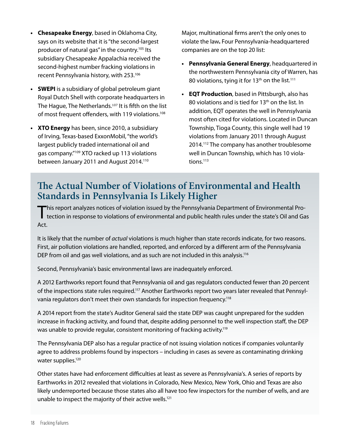- **• Chesapeake Energy**, based in Oklahoma City, says on its website that it is "the second-largest producer of natural gas" in the country.<sup>105</sup> Its subsidiary Chesapeake Appalachia received the second-highest number fracking violations in recent Pennsylvania history, with 253.106
- **• SWEPI** is a subsidiary of global petroleum giant Royal Dutch Shell with corporate headquarters in The Hague, The Netherlands.<sup>107</sup> It is fifth on the list of most frequent offenders, with 119 violations.<sup>108</sup>
- **• XTO Energy** has been, since 2010, a subsidiary of Irving, Texas-based ExxonMobil, "the world's largest publicly traded international oil and gas company."109 XTO racked up 113 violations between January 2011 and August 2014.<sup>110</sup>

Major, multinational firms aren't the only ones to violate the law**.** Four Pennsylvania-headquartered companies are on the top 20 list:

- **• Pennsylvania General Energy**, headquartered in the northwestern Pennsylvania city of Warren, has 80 violations, tying it for  $13<sup>th</sup>$  on the list.<sup>111</sup>
- **• EQT Production**, based in Pittsburgh, also has 80 violations and is tied for 13<sup>th</sup> on the list. In addition, EQT operates the well in Pennsylvania most often cited for violations. Located in Duncan Township, Tioga County, this single well had 19 violations from January 2011 through August 2014.<sup>112</sup> The company has another troublesome well in Duncan Township, which has 10 violations.<sup>113</sup>

#### **The Actual Number of Violations of Environmental and Health Standards in Pennsylvania Is Likely Higher**

This report analyzes notices of violation issued by the Pennsylvania Department of Environmental Pro-<br>tection in response to violations of environmental and public health rules under the state's Oil and Gas Act.

It is likely that the number of *actual* violations is much higher than state records indicate, for two reasons. First, air pollution violations are handled, reported, and enforced by a different arm of the Pennsylvania DEP from oil and gas well violations, and as such are not included in this analysis.<sup>116</sup>

Second, Pennsylvania's basic environmental laws are inadequately enforced.

A 2012 Earthworks report found that Pennsylvania oil and gas regulators conducted fewer than 20 percent of the inspections state rules required.117 Another Earthworks report two years later revealed that Pennsylvania regulators don't meet their own standards for inspection frequency.118

A 2014 report from the state's Auditor General said the state DEP was caught unprepared for the sudden increase in fracking activity, and found that, despite adding personnel to the well inspection staff, the DEP was unable to provide regular, consistent monitoring of fracking activity.<sup>119</sup>

The Pennsylvania DEP also has a regular practice of not issuing violation notices if companies voluntarily agree to address problems found by inspectors – including in cases as severe as contaminating drinking water supplies.<sup>120</sup>

Other states have had enforcement difficulties at least as severe as Pennsylvania's. A series of reports by Earthworks in 2012 revealed that violations in Colorado, New Mexico, New York, Ohio and Texas are also likely underreported because those states also all have too few inspectors for the number of wells, and are unable to inspect the majority of their active wells.121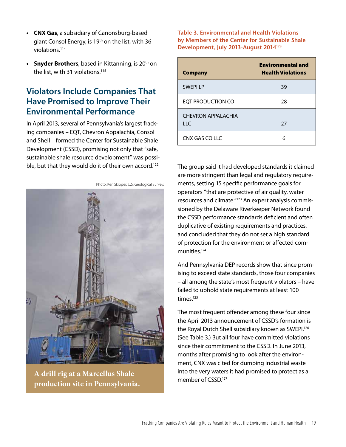- **• CNX Gas**, a subsidiary of Canonsburg-based giant Consol Energy, is 19th on the list, with 36 violations.114
- **Snyder Brothers**, based in Kittanning, is 20<sup>th</sup> on the list, with 31 violations.<sup>115</sup>

#### **Violators Include Companies That Have Promised to Improve Their Environmental Performance**

In April 2013, several of Pennsylvania's largest fracking companies – EQT, Chevron Appalachia, Consol and Shell – formed the Center for Sustainable Shale Development (CSSD), promising not only that "safe, sustainable shale resource development" was possible, but that they would do it of their own accord.<sup>122</sup>



**A drill rig at a Marcellus Shale production site in Pennsylvania.** 

**Table 3. Environmental and Health Violations by Members of the Center for Sustainable Shale Development, July 2013-August 2014**<sup>128</sup>

| <b>Company</b>            | <b>Environmental and</b><br><b>Health Violations</b> |
|---------------------------|------------------------------------------------------|
| <b>SWEPILP</b>            | 39                                                   |
| EQT PRODUCTION CO         | 28                                                   |
| CHEVRON APPAI ACHIA<br>HC | 27                                                   |
| CNX GAS COLLC             | 6                                                    |

The group said it had developed standards it claimed are more stringent than legal and regulatory requirements, setting 15 specific performance goals for operators "that are protective of air quality, water resources and climate."123 An expert analysis commissioned by the Delaware Riverkeeper Network found the CSSD performance standards deficient and often duplicative of existing requirements and practices, and concluded that they do not set a high standard of protection for the environment or affected communities.124

And Pennsylvania DEP records show that since promising to exceed state standards, those four companies – all among the state's most frequent violators – have failed to uphold state requirements at least 100 times.125

The most frequent offender among these four since the April 2013 announcement of CSSD's formation is the Royal Dutch Shell subsidiary known as SWEPI.<sup>126</sup> (See Table 3.) But all four have committed violations since their commitment to the CSSD. In June 2013, months after promising to look after the environment, CNX was cited for dumping industrial waste into the very waters it had promised to protect as a member of CSSD.127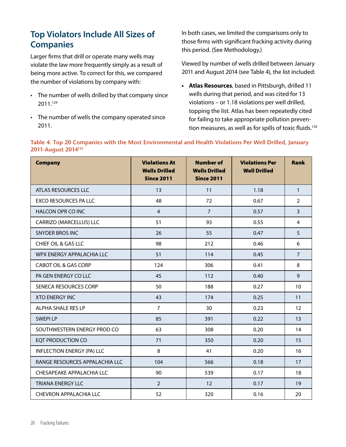#### **Top Violators Include All Sizes of Companies**

Larger firms that drill or operate many wells may violate the law more frequently simply as a result of being more active. To correct for this, we compared the number of violations by company with:

- The number of wells drilled by that company since 2011.129
- The number of wells the company operated since 2011.

In both cases, we limited the comparisons only to those firms with significant fracking activity during this period. (See Methodology.)

Viewed by number of wells drilled between January 2011 and August 2014 (see Table 4), the list included:

**• Atlas Resources**, based in Pittsburgh, drilled 11 wells during that period, and was cited for 13 violations – or 1.18 violations per well drilled, topping the list. Atlas has been repeatedly cited for failing to take appropriate pollution prevention measures, as well as for spills of toxic fluids.<sup>130</sup>

#### **Table 4. Top 20 Companies with the Most Environmental and Health Violations Per Well Drilled, January 2011-August 2014135**

| <b>Company</b>                    | <b>Violations At</b><br><b>Wells Drilled</b><br><b>Since 2011</b> | <b>Number of</b><br><b>Wells Drilled</b><br><b>Since 2011</b> | <b>Violations Per</b><br><b>Well Drilled</b> | <b>Rank</b>    |
|-----------------------------------|-------------------------------------------------------------------|---------------------------------------------------------------|----------------------------------------------|----------------|
| ATLAS RESOURCES LLC               | 13                                                                | 11                                                            | 1.18                                         | $\mathbf{1}$   |
| <b>EXCO RESOURCES PA LLC</b>      | 48                                                                | 72                                                            | 0.67                                         | $\overline{2}$ |
| <b>HALCON OPR CO INC</b>          | $\overline{4}$                                                    | $\overline{7}$                                                | 0.57                                         | 3              |
| CARRIZO (MARCELLUS) LLC           | 51                                                                | 93                                                            | 0.55                                         | $\overline{4}$ |
| <b>SNYDER BROS INC</b>            | 26                                                                | 55                                                            | 0.47                                         | 5              |
| <b>CHIEF OIL &amp; GAS LLC</b>    | 98                                                                | 212                                                           | 0.46                                         | 6              |
| WPX ENERGY APPALACHIA LLC         | 51                                                                | 114                                                           | 0.45                                         | $\overline{7}$ |
| <b>CABOT OIL &amp; GAS CORP</b>   | 124                                                               | 306                                                           | 0.41                                         | 8              |
| PA GEN ENERGY CO LLC              | 45                                                                | 112                                                           | 0.40                                         | 9              |
| SENECA RESOURCES CORP             | 50                                                                | 188                                                           | 0.27                                         | 10             |
| <b>XTO ENERGY INC</b>             | 43                                                                | 174                                                           | 0.25                                         | 11             |
| ALPHA SHALE RES LP                | $\overline{7}$                                                    | 30                                                            | 0.23                                         | 12             |
| <b>SWEPILP</b>                    | 85                                                                | 391                                                           | 0.22                                         | 13             |
| SOUTHWESTERN ENERGY PROD CO       | 63                                                                | 308                                                           | 0.20                                         | 14             |
| <b>EQT PRODUCTION CO</b>          | 71                                                                | 350                                                           | 0.20                                         | 15             |
| <b>INFLECTION ENERGY (PA) LLC</b> | 8                                                                 | 41                                                            | 0.20                                         | 16             |
| RANGE RESOURCES APPALACHIA LLC    | 104                                                               | 566                                                           | 0.18                                         | 17             |
| CHESAPEAKE APPALACHIA LLC         | 90                                                                | 539                                                           | 0.17                                         | 18             |
| <b>TRIANA ENERGY LLC</b>          | $\overline{2}$                                                    | 12                                                            | 0.17                                         | 19             |
| CHEVRON APPALACHIA LLC            | 52                                                                | 320                                                           | 0.16                                         | 20             |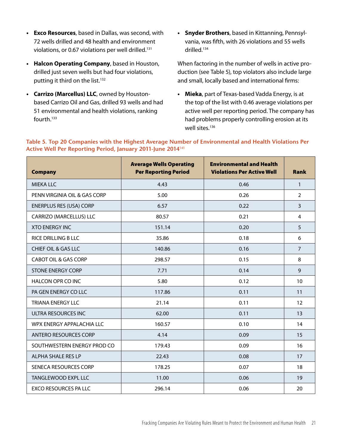- **• Exco Resources**, based in Dallas, was second, with 72 wells drilled and 48 health and environment violations, or 0.67 violations per well drilled.<sup>131</sup>
- **• Halcon Operating Company**, based in Houston, drilled just seven wells but had four violations, putting it third on the list.<sup>132</sup>
- **• Carrizo (Marcellus) LLC**, owned by Houstonbased Carrizo Oil and Gas, drilled 93 wells and had 51 environmental and health violations, ranking fourth.133
- **• Snyder Brothers**, based in Kittanning, Pennsylvania, was fifth, with 26 violations and 55 wells drilled.134

When factoring in the number of wells in active production (see Table 5), top violators also include large and small, locally based and international firms:

**• Mieka**, part of Texas-based Vadda Energy, is at the top of the list with 0.46 average violations per active well per reporting period. The company has had problems properly controlling erosion at its well sites.<sup>136</sup>

| <b>Company</b>                  | <b>Average Wells Operating</b><br><b>Per Reporting Period</b> | <b>Environmental and Health</b><br><b>Violations Per Active Well</b> | <b>Rank</b>    |
|---------------------------------|---------------------------------------------------------------|----------------------------------------------------------------------|----------------|
| <b>MIEKA LLC</b>                | 4.43                                                          | 0.46                                                                 | $\mathbf{1}$   |
| PENN VIRGINIA OIL & GAS CORP    | 5.00                                                          | 0.26                                                                 | $\overline{2}$ |
| <b>ENERPLUS RES (USA) CORP</b>  | 6.57                                                          | 0.22                                                                 | 3              |
| CARRIZO (MARCELLUS) LLC         | 80.57                                                         | 0.21                                                                 | 4              |
| <b>XTO ENFRGY INC.</b>          | 151.14                                                        | 0.20                                                                 | 5              |
| <b>RICE DRILLING B LLC</b>      | 35.86                                                         | 0.18                                                                 | 6              |
| CHIEF OIL & GAS LLC             | 140.86                                                        | 0.16                                                                 | $\overline{7}$ |
| <b>CABOT OIL &amp; GAS CORP</b> | 298.57                                                        | 0.15                                                                 | 8              |
| <b>STONE ENERGY CORP</b>        | 7.71                                                          | 0.14                                                                 | 9              |
| HALCON OPR CO INC               | 5.80                                                          | 0.12                                                                 | 10             |
| PA GEN ENERGY CO LLC            | 117.86                                                        | 0.11                                                                 | 11             |
| <b>TRIANA ENERGY LLC</b>        | 21.14                                                         | 0.11                                                                 | 12             |
| ULTRA RESOURCES INC             | 62.00                                                         | 0.11                                                                 | 13             |
| WPX ENERGY APPALACHIA LLC       | 160.57                                                        | 0.10                                                                 | 14             |
| <b>ANTERO RESOURCES CORP</b>    | 4.14                                                          | 0.09                                                                 | 15             |
| SOUTHWESTERN ENERGY PROD CO     | 179.43                                                        | 0.09                                                                 | 16             |
| ALPHA SHALE RES LP              | 22.43                                                         | 0.08                                                                 | 17             |
| SENECA RESOURCES CORP           | 178.25                                                        | 0.07                                                                 | 18             |
| TANGLEWOOD EXPL LLC             | 11.00                                                         | 0.06                                                                 | 19             |
| <b>EXCO RESOURCES PA LLC</b>    | 296.14                                                        | 0.06                                                                 | 20             |

**Table 5. Top 20 Companies with the Highest Average Number of Environmental and Health Violations Per Active Well Per Reporting Period, January 2011-June 2014**<sup>141</sup>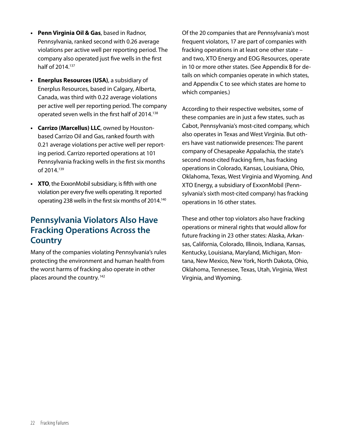- **• Penn Virginia Oil & Gas**, based in Radnor, Pennsylvania, ranked second with 0.26 average violations per active well per reporting period. The company also operated just five wells in the first half of 2014.<sup>137</sup>
- **• Enerplus Resources (USA)**, a subsidiary of Enerplus Resources, based in Calgary, Alberta, Canada, was third with 0.22 average violations per active well per reporting period. The company operated seven wells in the first half of 2014.<sup>138</sup>
- **• Carrizo (Marcellus) LLC**, owned by Houstonbased Carrizo Oil and Gas, ranked fourth with 0.21 average violations per active well per reporting period. Carrizo reported operations at 101 Pennsylvania fracking wells in the first six months of 2014.139
- **XTO**, the ExxonMobil subsidiary, is fifth with one violation per every five wells operating. It reported operating 238 wells in the first six months of 2014.<sup>140</sup>

#### **Pennsylvania Violators Also Have Fracking Operations Across the Country**

Many of the companies violating Pennsylvania's rules protecting the environment and human health from the worst harms of fracking also operate in other places around the country. 142

Of the 20 companies that are Pennsylvania's most frequent violators, 17 are part of companies with fracking operations in at least one other state – and two, XTO Energy and EOG Resources, operate in 10 or more other states. (See Appendix B for details on which companies operate in which states, and Appendix C to see which states are home to which companies.)

According to their respective websites, some of these companies are in just a few states, such as Cabot, Pennsylvania's most-cited company, which also operates in Texas and West Virginia. But others have vast nationwide presences: The parent company of Chesapeake Appalachia, the state's second most-cited fracking firm, has fracking operations in Colorado, Kansas, Louisiana, Ohio, Oklahoma, Texas, West Virginia and Wyoming. And XTO Energy, a subsidiary of ExxonMobil (Pennsylvania's sixth most-cited company) has fracking operations in 16 other states.

These and other top violators also have fracking operations or mineral rights that would allow for future fracking in 23 other states: Alaska, Arkansas, California, Colorado, Illinois, Indiana, Kansas, Kentucky, Louisiana, Maryland, Michigan, Montana, New Mexico, New York, North Dakota, Ohio, Oklahoma, Tennessee, Texas, Utah, Virginia, West Virginia, and Wyoming.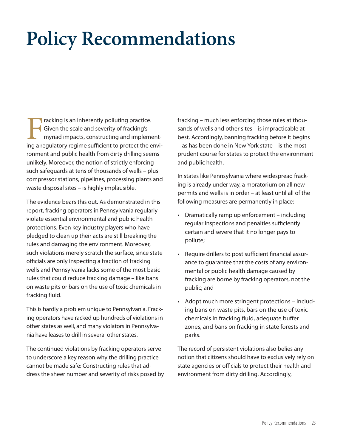### **Policy Recommendations**

Fracking is an inherently polluting practice.<br>Given the scale and severity of fracking's<br>myriad impacts, constructing and impleme<br>ing a regulatory regime sufficient to protect the e Given the scale and severity of fracking's myriad impacts, constructing and implementing a regulatory regime sufficient to protect the environment and public health from dirty drilling seems unlikely. Moreover, the notion of strictly enforcing such safeguards at tens of thousands of wells – plus compressor stations, pipelines, processing plants and waste disposal sites – is highly implausible.

The evidence bears this out. As demonstrated in this report, fracking operators in Pennsylvania regularly violate essential environmental and public health protections. Even key industry players who have pledged to clean up their acts are still breaking the rules and damaging the environment. Moreover, such violations merely scratch the surface, since state officials are only inspecting a fraction of fracking wells and Pennsylvania lacks some of the most basic rules that could reduce fracking damage – like bans on waste pits or bars on the use of toxic chemicals in fracking fluid.

This is hardly a problem unique to Pennsylvania. Fracking operators have racked up hundreds of violations in other states as well, and many violators in Pennsylvania have leases to drill in several other states.

The continued violations by fracking operators serve to underscore a key reason why the drilling practice cannot be made safe: Constructing rules that address the sheer number and severity of risks posed by fracking – much less enforcing those rules at thousands of wells and other sites – is impracticable at best. Accordingly, banning fracking before it begins – as has been done in New York state – is the most prudent course for states to protect the environment and public health.

In states like Pennsylvania where widespread fracking is already under way, a moratorium on all new permits and wells is in order – at least until all of the following measures are permanently in place:

- Dramatically ramp up enforcement including regular inspections and penalties sufficiently certain and severe that it no longer pays to pollute;
- • Require drillers to post sufficient financial assurance to guarantee that the costs of any environmental or public health damage caused by fracking are borne by fracking operators, not the public; and
- Adopt much more stringent protections including bans on waste pits, bars on the use of toxic chemicals in fracking fluid, adequate buffer zones, and bans on fracking in state forests and parks.

The record of persistent violations also belies any notion that citizens should have to exclusively rely on state agencies or officials to protect their health and environment from dirty drilling. Accordingly,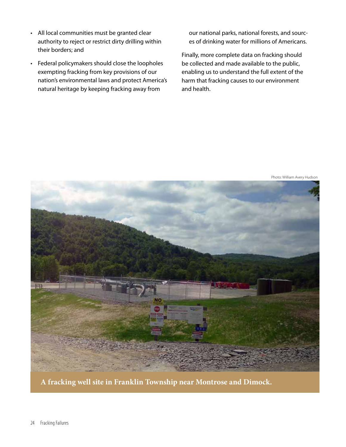- • All local communities must be granted clear authority to reject or restrict dirty drilling within their borders; and
- • Federal policymakers should close the loopholes exempting fracking from key provisions of our nation's environmental laws and protect America's natural heritage by keeping fracking away from

our national parks, national forests, and sources of drinking water for millions of Americans.

Finally, more complete data on fracking should be collected and made available to the public, enabling us to understand the full extent of the harm that fracking causes to our environment and health.



Photo: William Avery Hudson

**A fracking well site in Franklin Township near Montrose and Dimock.**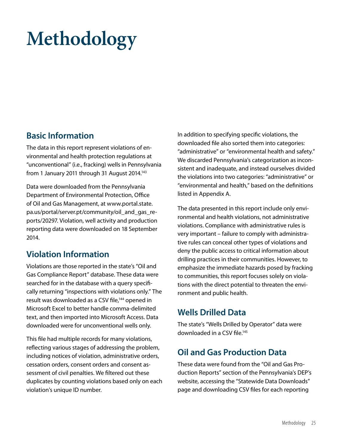## **Methodology**

#### **Basic Information**

The data in this report represent violations of environmental and health protection regulations at "unconventional" (i.e., fracking) wells in Pennsylvania from 1 January 2011 through 31 August 2014.<sup>143</sup>

Data were downloaded from the Pennsylvania Department of Environmental Protection, Office of Oil and Gas Management, at www.portal.state. pa.us/portal/server.pt/community/oil\_and\_gas\_reports/20297. Violation, well activity and production reporting data were downloaded on 18 September 2014.

#### **Violation Information**

Violations are those reported in the state's "Oil and Gas Compliance Report" database. These data were searched for in the database with a query specifically returning "inspections with violations only." The result was downloaded as a CSV file,<sup>144</sup> opened in Microsoft Excel to better handle comma-delimited text, and then imported into Microsoft Access. Data downloaded were for unconventional wells only.

This file had multiple records for many violations, reflecting various stages of addressing the problem, including notices of violation, administrative orders, cessation orders, consent orders and consent assessment of civil penalties. We filtered out these duplicates by counting violations based only on each violation's unique ID number.

In addition to specifying specific violations, the downloaded file also sorted them into categories: "administrative" or "environmental health and safety." We discarded Pennsylvania's categorization as inconsistent and inadequate, and instead ourselves divided the violations into two categories: "administrative" or "environmental and health," based on the definitions listed in Appendix A.

The data presented in this report include only environmental and health violations, not administrative violations. Compliance with administrative rules is very important – failure to comply with administrative rules can conceal other types of violations and deny the public access to critical information about drilling practices in their communities. However, to emphasize the immediate hazards posed by fracking to communities, this report focuses solely on violations with the direct potential to threaten the environment and public health.

#### **Wells Drilled Data**

The state's "Wells Drilled by Operator" data were downloaded in a CSV file.<sup>145</sup>

#### **Oil and Gas Production Data**

These data were found from the "Oil and Gas Production Reports" section of the Pennsylvania's DEP's website, accessing the "Statewide Data Downloads" page and downloading CSV files for each reporting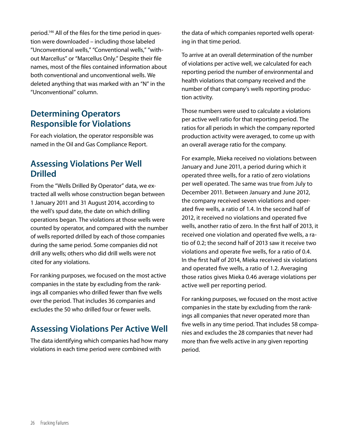period.146 All of the files for the time period in question were downloaded – including those labeled "Unconventional wells," "Conventional wells," "without Marcellus" or "Marcellus Only." Despite their file names, most of the files contained information about both conventional and unconventional wells. We deleted anything that was marked with an "N" in the "Unconventional" column.

#### **Determining Operators Responsible for Violations**

For each violation, the operator responsible was named in the Oil and Gas Compliance Report.

#### **Assessing Violations Per Well Drilled**

From the "Wells Drilled By Operator" data, we extracted all wells whose construction began between 1 January 2011 and 31 August 2014, according to the well's spud date, the date on which drilling operations began. The violations at those wells were counted by operator, and compared with the number of wells reported drilled by each of those companies during the same period. Some companies did not drill any wells; others who did drill wells were not cited for any violations.

For ranking purposes, we focused on the most active companies in the state by excluding from the rankings all companies who drilled fewer than five wells over the period. That includes 36 companies and excludes the 50 who drilled four or fewer wells.

#### **Assessing Violations Per Active Well**

The data identifying which companies had how many violations in each time period were combined with

the data of which companies reported wells operating in that time period.

To arrive at an overall determination of the number of violations per active well, we calculated for each reporting period the number of environmental and health violations that company received and the number of that company's wells reporting production activity.

Those numbers were used to calculate a violations per active well ratio for that reporting period. The ratios for all periods in which the company reported production activity were averaged, to come up with an overall average ratio for the company.

For example, Mieka received no violations between January and June 2011, a period during which it operated three wells, for a ratio of zero violations per well operated. The same was true from July to December 2011. Between January and June 2012, the company received seven violations and operated five wells, a ratio of 1.4. In the second half of 2012, it received no violations and operated five wells, another ratio of zero. In the first half of 2013, it received one violation and operated five wells, a ratio of 0.2; the second half of 2013 saw it receive two violations and operate five wells, for a ratio of 0.4. In the first half of 2014, Mieka received six violations and operated five wells, a ratio of 1.2. Averaging those ratios gives Mieka 0.46 average violations per active well per reporting period.

For ranking purposes, we focused on the most active companies in the state by excluding from the rankings all companies that never operated more than five wells in any time period. That includes 58 companies and excludes the 28 companies that never had more than five wells active in any given reporting period.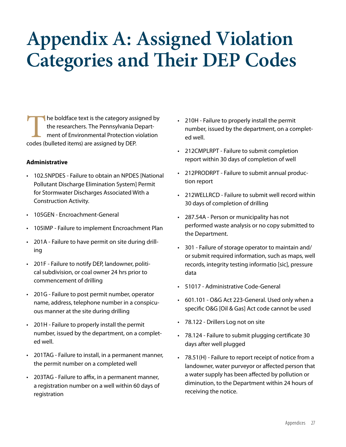### **Appendix A: Assigned Violation Categories and Their DEP Codes**

The boldface text is the category assigned by the researchers. The Pennsylvania Department of Environmental Protection violation codes (bulleted items) are assigned by DEP.

#### **Administrative**

- • 102.5NPDES Failure to obtain an NPDES [National Pollutant Discharge Elimination System] Permit for Stormwater Discharges Associated With a Construction Activity.
- 105GEN Encroachment-General
- 105IMP Failure to implement Encroachment Plan
- • 201A Failure to have permit on site during drilling
- • 201F Failure to notify DEP, landowner, political subdivision, or coal owner 24 hrs prior to commencement of drilling
- • 201G Failure to post permit number, operator name, address, telephone number in a conspicuous manner at the site during drilling
- • 201H Failure to properly install the permit number, issued by the department, on a completed well.
- • 201TAG Failure to install, in a permanent manner, the permit number on a completed well
- • 203TAG Failure to affix, in a permanent manner, a registration number on a well within 60 days of registration
- • 210H Failure to properly install the permit number, issued by the department, on a completed well.
- 212CMPLRPT Failure to submit completion report within 30 days of completion of well
- • 212PRODRPT Failure to submit annual production report
- • 212WELLRCD Failure to submit well record within 30 days of completion of drilling
- • 287.54A Person or municipality has not performed waste analysis or no copy submitted to the Department.
- • 301 Failure of storage operator to maintain and/ or submit required information, such as maps, well records, integrity testing informatio [sic], pressure data
- • 51017 Administrative Code-General
- • 601.101 O&G Act 223-General. Used only when a specific O&G [Oil & Gas] Act code cannot be used
- 78.122 Drillers Log not on site
- • 78.124 Failure to submit plugging certificate 30 days after well plugged
- 78.51(H) Failure to report receipt of notice from a landowner, water purveyor or affected person that a water supply has been affected by pollution or diminution, to the Department within 24 hours of receiving the notice.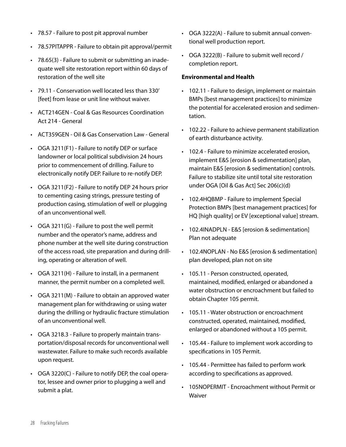- • 78.57 Failure to post pit approval number
- • 78.57PITAPPR Failure to obtain pit approval/permit
- 78.65(3) Failure to submit or submitting an inadequate well site restoration report within 60 days of restoration of the well site
- • 79.11 Conservation well located less than 330' [feet] from lease or unit line without waiver.
- • ACT214GEN Coal & Gas Resources Coordination Act 214 - General
- • ACT359GEN Oil & Gas Conservation Law General
- • OGA 3211(F1) Failure to notify DEP or surface landowner or local political subdivision 24 hours prior to commencement of drilling. Failure to electronically notify DEP. Failure to re-notify DEP.
- OGA 3211(F2) Failure to notify DEP 24 hours prior to cementing casing strings, pressure testing of production casing, stimulation of well or plugging of an unconventional well.
- • OGA 3211(G) Failure to post the well permit number and the operator's name, address and phone number at the well site during construction of the access road, site preparation and during drilling, operating or alteration of well.
- OGA 3211(H) Failure to install, in a permanent manner, the permit number on a completed well.
- • OGA 3211(M) Failure to obtain an approved water management plan for withdrawing or using water during the drilling or hydraulic fracture stimulation of an unconventional well.
- • OGA 3218.3 Failure to properly maintain transportation/disposal records for unconventional well wastewater. Failure to make such records available upon request.
- • OGA 3220(C) Failure to notify DEP, the coal operator, lessee and owner prior to plugging a well and submit a plat.
- • OGA 3222(A) Failure to submit annual conventional well production report.
- • OGA 3222(B) Failure to submit well record / completion report.

#### **Environmental and Health**

- • 102.11 Failure to design, implement or maintain BMPs [best management practices] to minimize the potential for accelerated erosion and sedimentation.
- 102.22 Failure to achieve permanent stabilization of earth disturbance activity.
- • 102.4 Failure to minimize accelerated erosion, implement E&S [erosion & sedimentation] plan, maintain E&S [erosion & sedimentation] controls. Failure to stabilize site until total site restoration under OGA [Oil & Gas Act] Sec 206(c)(d)
- 102.4HQBMP Failure to implement Special Protection BMPs [best management practices] for HQ [high quality] or EV [exceptional value] stream.
- • 102.4INADPLN E&S [erosion & sedimentation] Plan not adequate
- • 102.4NOPLAN No E&S [erosion & sedimentation] plan developed, plan not on site
- • 105.11 Person constructed, operated, maintained, modified, enlarged or abandoned a water obstruction or encroachment but failed to obtain Chapter 105 permit.
- 105.11 Water obstruction or encroachment constructed, operated, maintained, modified, enlarged or abandoned without a 105 permit.
- • 105.44 Failure to implement work according to specifications in 105 Permit.
- • 105.44 Permittee has failed to perform work according to specifications as approved.
- • 105NOPERMIT Encroachment without Permit or Waiver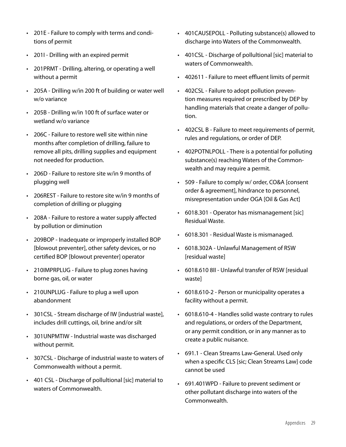- • 201E Failure to comply with terms and conditions of permit
- • 201I Drilling with an expired permit
- • 201PRMT Drilling, altering, or operating a well without a permit
- • 205A Drilling w/in 200 ft of building or water well w/o variance
- • 205B Drilling w/in 100 ft of surface water or wetland w/o variance
- 206C Failure to restore well site within nine months after completion of drilling, failure to remove all pits, drilling supplies and equipment not needed for production.
- • 206D Failure to restore site w/in 9 months of plugging well
- • 206REST Failure to restore site w/in 9 months of completion of drilling or plugging
- • 208A Failure to restore a water supply affected by pollution or diminution
- • 209BOP Inadequate or improperly installed BOP [blowout preventer], other safety devices, or no certified BOP [blowout preventer] operator
- • 210IMPRPLUG Failure to plug zones having borne gas, oil, or water
- • 210UNPLUG Failure to plug a well upon abandonment
- 301CSL Stream discharge of IW [industrial waste], includes drill cuttings, oil, brine and/or silt
- • 301UNPMTIW Industrial waste was discharged without permit.
- • 307CSL Discharge of industrial waste to waters of Commonwealth without a permit.
- • 401 CSL Discharge of pollultional [sic] material to waters of Commonwealth.
- • 401CAUSEPOLL Polluting substance(s) allowed to discharge into Waters of the Commonwealth.
- • 401CSL Discharge of pollultional [sic] material to waters of Commonwealth.
- • 402611 Failure to meet effluent limits of permit
- • 402CSL Failure to adopt pollution prevention measures required or prescribed by DEP by handling materials that create a danger of pollution.
- • 402CSL B Failure to meet requirements of permit, rules and regulations, or order of DEP.
- • 402POTNLPOLL There is a potential for polluting substance(s) reaching Waters of the Commonwealth and may require a permit.
- • 509 Failure to comply w/ order, CO&A [consent order & agreement], hindrance to personnel, misrepresentation under OGA [Oil & Gas Act]
- 6018.301 Operator has mismanagement [sic] Residual Waste.
- • 6018.301 Residual Waste is mismanaged.
- • 6018.302A Unlawful Management of RSW [residual waste]
- • 6018.610 8II Unlawful transfer of RSW [residual waste]
- 6018.610-2 Person or municipality operates a facility without a permit.
- • 6018.610-4 Handles solid waste contrary to rules and regulations, or orders of the Department, or any permit condition, or in any manner as to create a public nuisance.
- • 691.1 Clean Streams Law-General. Used only when a specific CLS [sic; Clean Streams Law] code cannot be used
- • 691.401WPD Failure to prevent sediment or other pollutant discharge into waters of the Commonwealth.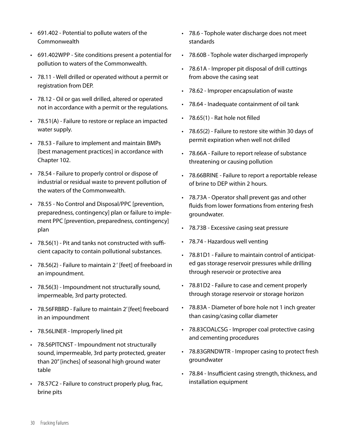- • 691.402 Potential to pollute waters of the Commonwealth
- • 691.402WPP Site conditions present a potential for pollution to waters of the Commonwealth.
- • 78.11 Well drilled or operated without a permit or registration from DEP.
- • 78.12 Oil or gas well drilled, altered or operated not in accordance with a permit or the regulations.
- • 78.51(A) Failure to restore or replace an impacted water supply.
- • 78.53 Failure to implement and maintain BMPs [best management practices] in accordance with Chapter 102.
- • 78.54 Failure to properly control or dispose of industrial or residual waste to prevent pollution of the waters of the Commonwealth.
- • 78.55 No Control and Disposal/PPC [prevention, preparedness, contingency] plan or failure to implement PPC [prevention, preparedness, contingency] plan
- • 78.56(1) Pit and tanks not constructed with sufficient capacity to contain pollutional substances.
- • 78.56(2) Failure to maintain 2 ' [feet] of freeboard in an impoundment.
- • 78.56(3) Impoundment not structurally sound, impermeable, 3rd party protected.
- • 78.56FRBRD Failure to maintain 2' [feet] freeboard in an impoundment
- • 78.56LINER Improperly lined pit
- • 78.56PITCNST Impoundment not structurally sound, impermeable, 3rd party protected, greater than 20" [inches] of seasonal high ground water table
- • 78.57C2 Failure to construct properly plug, frac, brine pits
- • 78.6 Tophole water discharge does not meet standards
- • 78.60B Tophole water discharged improperly
- • 78.61A Improper pit disposal of drill cuttings from above the casing seat
- • 78.62 Improper encapsulation of waste
- • 78.64 Inadequate containment of oil tank
- $\cdot$  78.65(1) Rat hole not filled
- • 78.65(2) Failure to restore site within 30 days of permit expiration when well not drilled
- • 78.66A Failure to report release of substance threatening or causing pollution
- • 78.66BRINE Failure to report a reportable release of brine to DEP within 2 hours.
- • 78.73A Operator shall prevent gas and other fluids from lower formations from entering fresh groundwater.
- • 78.73B Excessive casing seat pressure
- • 78.74 Hazardous well venting
- • 78.81D1 Failure to maintain control of anticipated gas storage reservoir pressures while drilling through reservoir or protective area
- • 78.81D2 Failure to case and cement properly through storage reservoir or storage horizon
- • 78.83A Diameter of bore hole not 1 inch greater than casing/casing collar diameter
- 78.83COALCSG Improper coal protective casing and cementing procedures
- • 78.83GRNDWTR Improper casing to protect fresh groundwater
- • 78.84 Insufficient casing strength, thickness, and installation equipment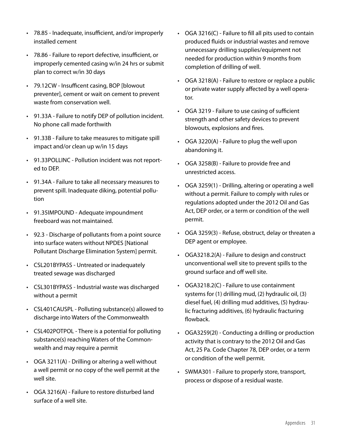- • 78.85 Inadequate, insufficient, and/or improperly installed cement
- • 78.86 Failure to report defective, insufficient, or improperly cemented casing w/in 24 hrs or submit plan to correct w/in 30 days
- • 79.12CW Insufficent casing, BOP [blowout preventer], cement or wait on cement to prevent waste from conservation well.
- • 91.33A Failure to notify DEP of pollution incident. No phone call made forthwith
- • 91.33B Failure to take measures to mitigate spill impact and/or clean up w/in 15 days
- • 91.33POLLINC Pollution incident was not reported to DEP.
- • 91.34A Failure to take all necessary measures to prevent spill. Inadequate diking, potential pollution
- • 91.35IMPOUND Adequate impoundment freeboard was not maintained.
- • 92.3 Discharge of pollutants from a point source into surface waters without NPDES [National Pollutant Discharge Elimination System] permit.
- • CSL201BYPASS Untreated or inadequately treated sewage was discharged
- • CSL301BYPASS Industrial waste was discharged without a permit
- CSL401CAUSPL Polluting substance(s) allowed to discharge into Waters of the Commonwealth
- CSL402POTPOL There is a potential for polluting substance(s) reaching Waters of the Commonwealth and may require a permit
- $\cdot$  OGA 3211(A) Drilling or altering a well without a well permit or no copy of the well permit at the well site.
- • OGA 3216(A) Failure to restore disturbed land surface of a well site.
- $\cdot$  OGA 3216(C) Failure to fill all pits used to contain produced fluids or industrial wastes and remove unnecessary drilling supplies/equipment not needed for production within 9 months from completion of drilling of well.
- • OGA 3218(A) Failure to restore or replace a public or private water supply affected by a well operator.
- • OGA 3219 Failure to use casing of sufficient strength and other safety devices to prevent blowouts, explosions and fires.
- OGA 3220(A) Failure to plug the well upon abandoning it.
- • OGA 3258(B) Failure to provide free and unrestricted access.
- • OGA 3259(1) Drilling, altering or operating a well without a permit. Failure to comply with rules or regulations adopted under the 2012 Oil and Gas Act, DEP order, or a term or condition of the well permit.
- • OGA 3259(3) Refuse, obstruct, delay or threaten a DEP agent or employee.
- • OGA3218.2(A) Failure to design and construct unconventional well site to prevent spills to the ground surface and off well site.
- • OGA3218.2(C) Failure to use containment systems for (1) drilling mud, (2) hydraulic oil, (3) diesel fuel, (4) drilling mud additives, (5) hydraulic fracturing additives, (6) hydraulic fracturing flowback.
- • OGA3259(2I) Conducting a drilling or production activity that is contrary to the 2012 Oil and Gas Act, 25 Pa. Code Chapter 78, DEP order, or a term or condition of the well permit.
- • SWMA301 Failure to properly store, transport, process or dispose of a residual waste.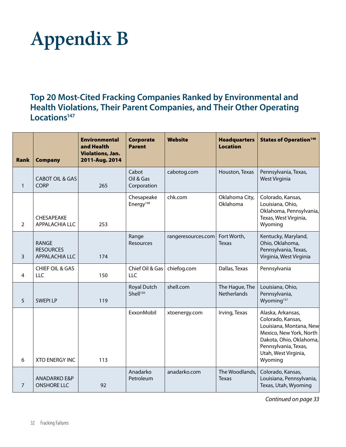### **Appendix B**

**Top 20 Most-Cited Fracking Companies Ranked by Environmental and Health Violations, Their Parent Companies, and Their Other Operating Locations147**

| Rank           | <b>Company</b>                                            | <b>Environmental</b><br>and Health<br><b>Violations, Jan.</b><br>2011-Aug. 2014 | Corporate<br><b>Parent</b>          | <b>Website</b>     | <b>Headquarters</b><br><b>Location</b> | <b>States of Operation<sup>148</sup></b>                                                                                                                                           |
|----------------|-----------------------------------------------------------|---------------------------------------------------------------------------------|-------------------------------------|--------------------|----------------------------------------|------------------------------------------------------------------------------------------------------------------------------------------------------------------------------------|
| $\mathbf{1}$   | <b>CABOT OIL &amp; GAS</b><br><b>CORP</b>                 | 265                                                                             | Cabot<br>Oil & Gas<br>Corporation   | cabotog.com        | Houston, Texas                         | Pennsylvania, Texas,<br><b>West Virginia</b>                                                                                                                                       |
| $\overline{2}$ | CHESAPEAKE<br>APPALACHIA LLC                              | 253                                                                             | Chesapeake<br>Energy <sup>149</sup> | chk.com            | Oklahoma City,<br>Oklahoma             | Colorado, Kansas,<br>Louisiana, Ohio,<br>Oklahoma, Pennsylvania,<br>Texas, West Virginia,<br>Wyoming                                                                               |
| $\overline{3}$ | <b>RANGE</b><br><b>RESOURCES</b><br><b>APPALACHIA LLC</b> | 174                                                                             | Range<br>Resources                  | rangeresources.com | Fort Worth,<br><b>Texas</b>            | Kentucky, Maryland,<br>Ohio, Oklahoma,<br>Pennsylvania, Texas,<br>Virginia, West Virginia                                                                                          |
| $\overline{4}$ | <b>CHIEF OIL &amp; GAS</b><br>LLC                         | 150                                                                             | Chief Oil & Gas<br><b>LLC</b>       | chiefog.com        | Dallas, Texas                          | Pennsylvania                                                                                                                                                                       |
| 5              | <b>SWEPILP</b>                                            | 119                                                                             | Royal Dutch<br>Shell <sup>150</sup> | shell.com          | The Hague, The<br><b>Netherlands</b>   | Louisiana, Ohio,<br>Pennsylvania,<br>Wyoming <sup>151</sup>                                                                                                                        |
| 6              | <b>XTO ENERGY INC</b>                                     | 113                                                                             | ExxonMobil                          | xtoenergy.com      | Irving, Texas                          | Alaska, Arkansas,<br>Colorado, Kansas,<br>Louisiana, Montana, New<br>Mexico, New York, North<br>Dakota, Ohio, Oklahoma,<br>Pennsylvania, Texas,<br>Utah, West Virginia,<br>Wyoming |
| $\overline{7}$ | <b>ANADARKO E&amp;P</b><br><b>ONSHORE LLC</b>             | 92                                                                              | Anadarko<br>Petroleum               | anadarko.com       | The Woodlands,<br><b>Texas</b>         | Colorado, Kansas,<br>Louisiana, Pennsylvania,<br>Texas, Utah, Wyoming                                                                                                              |

*Continued on page 33*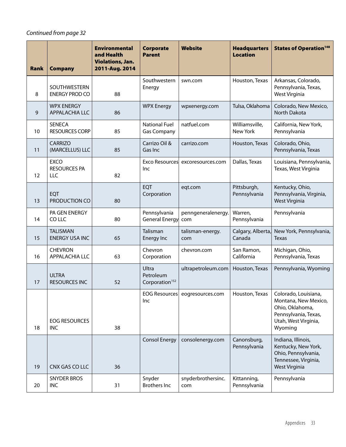#### *Continued from page 32*

| <b>Rank</b> | <b>Company</b>                             | <b>Environmental</b><br>and Health<br><b>Violations, Jan.</b><br>2011-Aug. 2014 | <b>Corporate</b><br><b>Parent</b>                | <b>Website</b>                   | <b>Headquarters</b><br><b>Location</b> | <b>States of Operation<sup>148</sup></b>                                                                                   |
|-------------|--------------------------------------------|---------------------------------------------------------------------------------|--------------------------------------------------|----------------------------------|----------------------------------------|----------------------------------------------------------------------------------------------------------------------------|
| 8           | SOUTHWESTERN<br><b>ENERGY PROD CO</b>      | 88                                                                              | Southwestern<br>Energy                           | swn.com                          | Houston, Texas                         | Arkansas, Colorado,<br>Pennsylvania, Texas,<br>West Virginia                                                               |
| 9           | <b>WPX ENERGY</b><br><b>APPALACHIA LLC</b> | 86                                                                              | <b>WPX Energy</b>                                | wpxenergy.com                    | Tulsa, Oklahoma                        | Colorado, New Mexico,<br>North Dakota                                                                                      |
| 10          | <b>SENECA</b><br><b>RESOURCES CORP</b>     | 85                                                                              | <b>National Fuel</b><br><b>Gas Company</b>       | natfuel.com                      | Williamsville,<br>New York             | California, New York,<br>Pennsylvania                                                                                      |
| 11          | <b>CARRIZO</b><br>(MARCELLUS) LLC          | 85                                                                              | Carrizo Oil &<br>Gas Inc                         | carrizo.com                      | Houston, Texas                         | Colorado, Ohio,<br>Pennsylvania, Texas                                                                                     |
| 12          | <b>EXCO</b><br><b>RESOURCES PA</b><br>LLC  | 82                                                                              | Inc                                              | Exco Resources excoresources.com | Dallas, Texas                          | Louisiana, Pennsylvania,<br>Texas, West Virginia                                                                           |
| 13          | EQT<br>PRODUCTION CO                       | 80                                                                              | EQT<br>Corporation                               | eqt.com                          | Pittsburgh,<br>Pennsylvania            | Kentucky, Ohio,<br>Pennsylvania, Virginia,<br>West Virginia                                                                |
| 14          | PA GEN ENERGY<br>CO LLC                    | 80                                                                              | Pennsylvania<br>General Energy                   | penngeneralenergy.<br>com        | Warren,<br>Pennsylvania                | Pennsylvania                                                                                                               |
| 15          | <b>TALISMAN</b><br><b>ENERGY USA INC</b>   | 65                                                                              | Talisman<br><b>Energy Inc</b>                    | talisman-energy.<br>com          | Calgary, Alberta,<br>Canada            | New York, Pennsylvania,<br><b>Texas</b>                                                                                    |
| 16          | <b>CHEVRON</b><br><b>APPALACHIA LLC</b>    | 63                                                                              | Chevron<br>Corporation                           | chevron.com                      | San Ramon,<br>California               | Michigan, Ohio,<br>Pennsylvania, Texas                                                                                     |
| 17          | <b>ULTRA</b><br><b>RESOURCES INC</b>       | 52                                                                              | Ultra<br>Petroleum<br>Corporation <sup>152</sup> | ultrapetroleum.com               | Houston, Texas                         | Pennsylvania, Wyoming                                                                                                      |
| 18          | <b>EOG RESOURCES</b><br><b>INC</b>         | 38                                                                              | Inc.                                             | EOG Resources eogresources.com   | Houston, Texas                         | Colorado, Louisiana,<br>Montana, New Mexico,<br>Ohio, Oklahoma,<br>Pennsylvania, Texas,<br>Utah, West Virginia,<br>Wyoming |
| 19          | CNX GAS CO LLC                             | 36                                                                              | <b>Consol Energy</b>                             | consolenergy.com                 | Canonsburg,<br>Pennsylvania            | Indiana, Illinois,<br>Kentucky, New York,<br>Ohio, Pennsylvania,<br>Tennessee, Virginia,<br>West Virginia                  |
| 20          | <b>SNYDER BROS</b><br><b>INC</b>           | 31                                                                              | Snyder<br><b>Brothers Inc</b>                    | snyderbrothersinc.<br>com        | Kittanning,<br>Pennsylvania            | Pennsylvania                                                                                                               |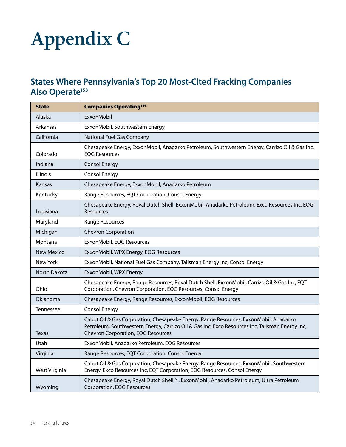### **Appendix C**

#### **States Where Pennsylvania's Top 20 Most-Cited Fracking Companies**  Also Operate<sup>153</sup>

| <b>State</b>     | <b>Companies Operating154</b>                                                                                                                                                                                                         |
|------------------|---------------------------------------------------------------------------------------------------------------------------------------------------------------------------------------------------------------------------------------|
| Alaska           | ExxonMobil                                                                                                                                                                                                                            |
| Arkansas         | ExxonMobil, Southwestern Energy                                                                                                                                                                                                       |
| California       | National Fuel Gas Company                                                                                                                                                                                                             |
| Colorado         | Chesapeake Energy, ExxonMobil, Anadarko Petroleum, Southwestern Energy, Carrizo Oil & Gas Inc,<br><b>EOG Resources</b>                                                                                                                |
| Indiana          | <b>Consol Energy</b>                                                                                                                                                                                                                  |
| <b>Illinois</b>  | <b>Consol Energy</b>                                                                                                                                                                                                                  |
| Kansas           | Chesapeake Energy, ExxonMobil, Anadarko Petroleum                                                                                                                                                                                     |
| Kentucky         | Range Resources, EQT Corporation, Consol Energy                                                                                                                                                                                       |
| Louisiana        | Chesapeake Energy, Royal Dutch Shell, ExxonMobil, Anadarko Petroleum, Exco Resources Inc, EOG<br>Resources                                                                                                                            |
| Maryland         | Range Resources                                                                                                                                                                                                                       |
| Michigan         | <b>Chevron Corporation</b>                                                                                                                                                                                                            |
| Montana          | ExxonMobil, EOG Resources                                                                                                                                                                                                             |
| New Mexico       | ExxonMobil, WPX Energy, EOG Resources                                                                                                                                                                                                 |
| New York         | ExxonMobil, National Fuel Gas Company, Talisman Energy Inc, Consol Energy                                                                                                                                                             |
| North Dakota     | ExxonMobil, WPX Energy                                                                                                                                                                                                                |
| Ohio             | Chesapeake Energy, Range Resources, Royal Dutch Shell, ExxonMobil, Carrizo Oil & Gas Inc, EQT<br>Corporation, Chevron Corporation, EOG Resources, Consol Energy                                                                       |
| Oklahoma         | Chesapeake Energy, Range Resources, ExxonMobil, EOG Resources                                                                                                                                                                         |
| <b>Tennessee</b> | <b>Consol Energy</b>                                                                                                                                                                                                                  |
| <b>Texas</b>     | Cabot Oil & Gas Corporation, Chesapeake Energy, Range Resources, ExxonMobil, Anadarko<br>Petroleum, Southwestern Energy, Carrizo Oil & Gas Inc, Exco Resources Inc, Talisman Energy Inc,<br><b>Chevron Corporation, EOG Resources</b> |
| Utah             | ExxonMobil, Anadarko Petroleum, EOG Resources                                                                                                                                                                                         |
| Virginia         | Range Resources, EQT Corporation, Consol Energy                                                                                                                                                                                       |
| West Virginia    | Cabot Oil & Gas Corporation, Chesapeake Energy, Range Resources, ExxonMobil, Southwestern<br>Energy, Exco Resources Inc, EQT Corporation, EOG Resources, Consol Energy                                                                |
| Wyoming          | Chesapeake Energy, Royal Dutch Shell <sup>155</sup> , ExxonMobil, Anadarko Petroleum, Ultra Petroleum<br>Corporation, EOG Resources                                                                                                   |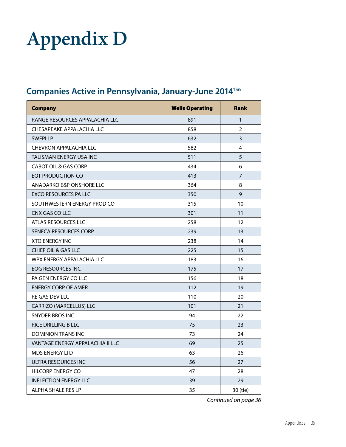### **Appendix D**

#### **Companies Active in Pennsylvania, January-June 2014156**

| <b>Company</b>                   | <b>Wells Operating</b> | <b>Rank</b>             |
|----------------------------------|------------------------|-------------------------|
| RANGE RESOURCES APPALACHIA LLC   | 891                    | $\mathbf{1}$            |
| CHESAPEAKE APPALACHIA LLC        | 858                    | $\overline{2}$          |
| <b>SWEPILP</b>                   | 632                    | 3                       |
| <b>CHEVRON APPALACHIA LLC</b>    | 582                    | $\overline{\mathbf{4}}$ |
| TALISMAN ENERGY USA INC          | 511                    | 5                       |
| <b>CABOT OIL &amp; GAS CORP</b>  | 434                    | 6                       |
| EQT PRODUCTION CO                | 413                    | $\overline{7}$          |
| ANADARKO E&P ONSHORE LLC         | 364                    | 8                       |
| <b>EXCO RESOURCES PA LLC</b>     | 350                    | 9                       |
| SOUTHWESTERN ENERGY PROD CO      | 315                    | 10                      |
| CNX GAS CO LLC                   | 301                    | 11                      |
| ATLAS RESOURCES LLC              | 258                    | 12                      |
| SENECA RESOURCES CORP            | 239                    | 13                      |
| <b>XTO ENERGY INC</b>            | 238                    | 14                      |
| <b>CHIEF OIL &amp; GAS LLC</b>   | 225                    | 15                      |
| WPX ENERGY APPALACHIA LLC        | 183                    | 16                      |
| EOG RESOURCES INC                | 175                    | 17                      |
| PA GEN ENERGY CO LLC             | 156                    | 18                      |
| <b>ENERGY CORP OF AMER</b>       | 112                    | 19                      |
| RE GAS DEV LLC                   | 110                    | 20                      |
| <b>CARRIZO (MARCELLUS) LLC</b>   | 101                    | 21                      |
| <b>SNYDER BROS INC</b>           | 94                     | 22                      |
| <b>RICE DRILLING B LLC</b>       | 75                     | 23                      |
| DOMINION TRANS INC               | 73                     | 24                      |
| VANTAGE ENERGY APPALACHIA II LLC | 69                     | 25                      |
| <b>MDS ENERGY LTD</b>            | 63                     | 26                      |
| ULTRA RESOURCES INC              | 56                     | 27                      |
| <b>HILCORP ENERGY CO</b>         | 47                     | 28                      |
| <b>INFLECTION ENERGY LLC</b>     | 39                     | 29                      |
| <b>ALPHA SHALE RES LP</b>        | 35                     | 30 (tie)                |

*Continued on page 36*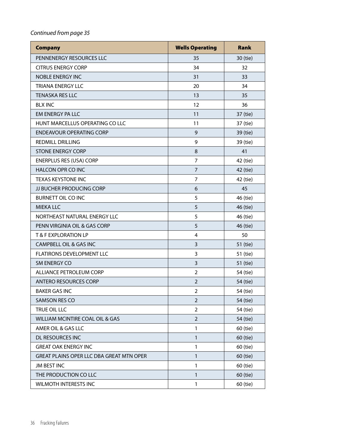#### *Continued from page 35*

| <b>Company</b>                           | <b>Wells Operating</b> | <b>Rank</b> |
|------------------------------------------|------------------------|-------------|
| PENNENERGY RESOURCES LLC                 | 35                     | 30 (tie)    |
| <b>CITRUS ENERGY CORP</b>                | 34                     | 32          |
| <b>NOBLE ENERGY INC</b>                  | 31                     | 33          |
| <b>TRIANA ENERGY LLC</b>                 | 20                     | 34          |
| <b>TENASKA RES LLC</b>                   | 13                     | 35          |
| <b>BLX INC</b>                           | 12                     | 36          |
| EM ENERGY PA LLC                         | 11                     | 37 (tie)    |
| HUNT MARCELLUS OPERATING CO LLC          | 11                     | 37 (tie)    |
| <b>ENDEAVOUR OPERATING CORP</b>          | 9                      | 39 (tie)    |
| <b>REDMILL DRILLING</b>                  | 9                      | 39 (tie)    |
| <b>STONE ENERGY CORP</b>                 | 8                      | 41          |
| <b>ENERPLUS RES (USA) CORP</b>           | 7                      | 42 (tie)    |
| <b>HALCON OPR CO INC</b>                 | $\overline{7}$         | 42 (tie)    |
| <b>TEXAS KEYSTONE INC</b>                | 7                      | 42 (tie)    |
| JJ BUCHER PRODUCING CORP                 | 6                      | 45          |
| <b>BURNETT OIL CO INC</b>                | 5                      | 46 (tie)    |
| <b>MIEKA LLC</b>                         | 5                      | 46 (tie)    |
| NORTHEAST NATURAL ENERGY LLC             | 5                      | 46 (tie)    |
| PENN VIRGINIA OIL & GAS CORP             | 5                      | 46 (tie)    |
| T & F EXPLORATION LP                     | 4                      | 50          |
| <b>CAMPBELL OIL &amp; GAS INC</b>        | 3                      | 51 (tie)    |
| FLATIRONS DEVELOPMENT LLC                | 3                      | 51 (tie)    |
| SM ENERGY CO                             | 3                      | 51 (tie)    |
| <b>ALLIANCE PETROLEUM CORP</b>           | $\overline{2}$         | 54 (tie)    |
| <b>ANTERO RESOURCES CORP</b>             | $\overline{2}$         | 54 (tie)    |
| <b>BAKER GAS INC</b>                     | $\overline{2}$         | 54 (tie)    |
| <b>SAMSON RES CO</b>                     | $\overline{2}$         | 54 (tie)    |
| TRUE OIL LLC                             | 2                      | 54 (tie)    |
| WILLIAM MCINTIRE COAL OIL & GAS          | $\overline{2}$         | 54 (tie)    |
| AMER OIL & GAS LLC                       | 1                      | 60 (tie)    |
| DL RESOURCES INC                         | $\mathbf{1}$           | 60 (tie)    |
| <b>GREAT OAK ENERGY INC</b>              | 1                      | 60 (tie)    |
| GREAT PLAINS OPER LLC DBA GREAT MTN OPER | 1                      | 60 (tie)    |
| JM BEST INC                              | 1                      | 60 (tie)    |
| THE PRODUCTION CO LLC                    | $\mathbf{1}$           | 60 (tie)    |
| WILMOTH INTERESTS INC                    | $\mathbf{1}$           | 60 (tie)    |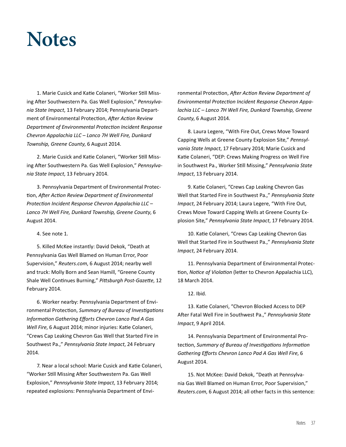### **Notes**

1. Marie Cusick and Katie Colaneri, "Worker Still Missing After Southwestern Pa. Gas Well Explosion," *Pennsylvania State Impact*, 13 February 2014; Pennsylvania Department of Environmental Protection, *After Action Review Department of Environmental Protection Incident Response Chevron Appalachia LLC – Lanco 7H Well Fire, Dunkard Township, Greene County*, 6 August 2014.

2. Marie Cusick and Katie Colaneri, "Worker Still Missing After Southwestern Pa. Gas Well Explosion," *Pennsylvania State Impact*, 13 February 2014.

3. Pennsylvania Department of Environmental Protection, *After Action Review Department of Environmental Protection Incident Response Chevron Appalachia LLC – Lanco 7H Well Fire, Dunkard Township, Greene County*, 6 August 2014.

4. See note 1.

5. Killed McKee instantly: David Dekok, "Death at Pennsylvania Gas Well Blamed on Human Error, Poor Supervision," *Reuters.com*, 6 August 2014; nearby well and truck: Molly Born and Sean Hamill, "Greene County Shale Well Continues Burning," *Pittsburgh Post-Gazette*, 12 February 2014.

6. Worker nearby: Pennsylvania Department of Environmental Protection, *Summary of Bureau of Investigations Information Gathering Efforts Chevron Lanco Pad A Gas Well Fire*, 6 August 2014; minor injuries: Katie Colaneri, "Crews Cap Leaking Chevron Gas Well that Started Fire in Southwest Pa.," *Pennsylvania State Impact*, 24 February 2014.

7. Near a local school: Marie Cusick and Katie Colaneri, "Worker Still Missing After Southwestern Pa. Gas Well Explosion," *Pennsylvania State Impact*, 13 February 2014; repeated explosions: Pennsylvania Department of Environmental Protection, *After Action Review Department of Environmental Protection Incident Response Chevron Appalachia LLC – Lanco 7H Well Fire, Dunkard Township, Greene County*, 6 August 2014.

8. Laura Legere, "With Fire Out, Crews Move Toward Capping Wells at Greene County Explosion Site," *Pennsylvania State Impact*, 17 February 2014; Marie Cusick and Katie Colaneri, "DEP: Crews Making Progress on Well Fire in Southwest Pa., Worker Still Missing," *Pennsylvania State Impact*, 13 February 2014.

9. Katie Colaneri, "Crews Cap Leaking Chevron Gas Well that Started Fire in Southwest Pa.," *Pennsylvania State Impact*, 24 February 2014; Laura Legere, "With Fire Out, Crews Move Toward Capping Wells at Greene County Explosion Site," *Pennsylvania State Impact*, 17 February 2014.

10. Katie Colaneri, "Crews Cap Leaking Chevron Gas Well that Started Fire in Southwest Pa.," *Pennsylvania State Impact*, 24 February 2014.

11. Pennsylvania Department of Environmental Protection, *Notice of Violation* (letter to Chevron Appalachia LLC), 18 March 2014.

12. Ibid.

13. Katie Colaneri, "Chevron Blocked Access to DEP After Fatal Well Fire in Southwest Pa.," *Pennsylvania State Impact*, 9 April 2014.

14. Pennsylvania Department of Environmental Protection, *Summary of Bureau of Investigations Information Gathering Efforts Chevron Lanco Pad A Gas Well Fire*, 6 August 2014.

15. Not McKee: David Dekok, "Death at Pennsylvania Gas Well Blamed on Human Error, Poor Supervision," *Reuters.com*, 6 August 2014; all other facts in this sentence: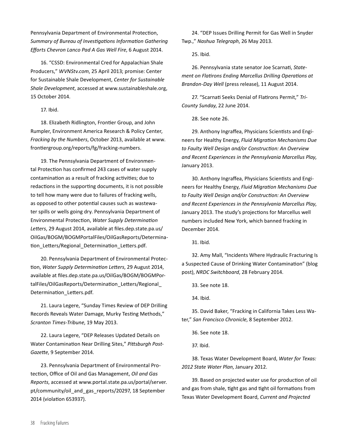Pennsylvania Department of Environmental Protection, *Summary of Bureau of Investigations Information Gathering Efforts Chevron Lanco Pad A Gas Well Fire*, 6 August 2014.

16. "CSSD: Environmental Cred for Appalachian Shale Producers," *WVNStv.com*, 25 April 2013; promise: Center for Sustainable Shale Development, *Center for Sustainable Shale Development*, accessed at www.sustainableshale.org, 15 October 2014.

17. Ibid.

18. Elizabeth Ridlington, Frontier Group, and John Rumpler, Environment America Research & Policy Center, *Fracking by the Numbers*, October 2013, available at www. frontiergroup.org/reports/fg/fracking-numbers.

19. The Pennsylvania Department of Environmental Protection has confirmed 243 cases of water supply contamination as a result of fracking activities; due to redactions in the supporting documents, it is not possible to tell how many were due to failures of fracking wells, as opposed to other potential causes such as wastewater spills or wells going dry. Pennsylvania Department of Environmental Protection, *Water Supply Determination Letters*, 29 August 2014, available at files.dep.state.pa.us/ OilGas/BOGM/BOGMPortalFiles/OilGasReports/Determination Letters/Regional Determination Letters.pdf.

20. Pennsylvania Department of Environmental Protection, *Water Supply Determination Letters*, 29 August 2014, available at files.dep.state.pa.us/OilGas/BOGM/BOGMPortalFiles/OilGasReports/Determination\_Letters/Regional\_ Determination\_Letters.pdf.

21. Laura Legere, "Sunday Times Review of DEP Drilling Records Reveals Water Damage, Murky Testing Methods," *Scranton Times-Tribune*, 19 May 2013.

22. Laura Legere, "DEP Releases Updated Details on Water Contamination Near Drilling Sites," *Pittsburgh Post-Gazette*, 9 September 2014.

23. Pennsylvania Department of Environmental Protection, Office of Oil and Gas Management, *Oil and Gas Reports*, accessed at www.portal.state.pa.us/portal/server. pt/community/oil\_and\_gas\_reports/20297, 18 September 2014 (violation 653937).

24. "DEP Issues Drilling Permit for Gas Well in Snyder Twp.," *Nashua Telegraph*, 26 May 2013.

25. Ibid.

26. Pennsylvania state senator Joe Scarnati, *Statement on Flatirons Ending Marcellus Drilling Operations at Brandon-Day Well* (press release), 11 August 2014.

27. "Scarnati Seeks Denial of Flatirons Permit," *Tri-County Sunday*, 22 June 2014.

28. See note 26.

29. Anthony Ingraffea, Physicians Scientists and Engineers for Healthy Energy, *Fluid Migration Mechanisms Due to Faulty Well Design and/or Construction: An Overview and Recent Experiences in the Pennsylvania Marcellus Play*, January 2013.

30. Anthony Ingraffea, Physicians Scientists and Engineers for Healthy Energy, *Fluid Migration Mechanisms Due to Faulty Well Design and/or Construction: An Overview and Recent Experiences in the Pennsylvania Marcellus Play*, January 2013. The study's projections for Marcellus well numbers included New York, which banned fracking in December 2014.

31. Ibid.

32. Amy Mall, "Incidents Where Hydraulic Fracturing Is a Suspected Cause of Drinking Water Contamination" (blog post), *NRDC Switchboard*, 28 February 2014.

33. See note 18.

34. Ibid.

35. David Baker, "Fracking in California Takes Less Water," *San Francisco Chronicle*, 8 September 2012.

36. See note 18.

37. Ibid.

38. Texas Water Development Board, *Water for Texas: 2012 State Water Plan*, January 2012.

39. Based on projected water use for production of oil and gas from shale, tight gas and tight oil formations from Texas Water Development Board, *Current and Projected*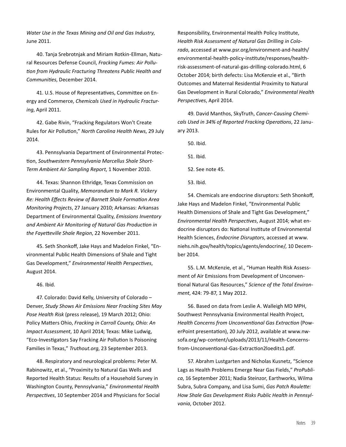*Water Use in the Texas Mining and Oil and Gas Industry*, June 2011.

40. Tanja Srebrotnjak and Miriam Rotkin-Ellman, Natural Resources Defense Council, *Fracking Fumes: Air Pollution from Hydraulic Fracturing Threatens Public Health and Communities*, December 2014.

41. U.S. House of Representatives, Committee on Energy and Commerce, *Chemicals Used in Hydraulic Fracturing*, April 2011.

42. Gabe Rivin, "Fracking Regulators Won't Create Rules for Air Pollution," *North Carolina Health News*, 29 July 2014.

43. Pennsylvania Department of Environmental Protection, *Southwestern Pennsylvania Marcellus Shale Short-Term Ambient Air Sampling Report*, 1 November 2010.

44. Texas: Shannon Ethridge, Texas Commission on Environmental Quality, *Memorandum to Mark R. Vickery Re: Health Effects Review of Barnett Shale Formation Area Monitoring Projects*, 27 January 2010; Arkansas: Arkansas Department of Environmental Quality, *Emissions Inventory and Ambient Air Monitoring of Natural Gas Production in the Fayetteville Shale Region*, 22 November 2011.

45. Seth Shonkoff, Jake Hays and Madelon Finkel, "Environmental Public Health Dimensions of Shale and Tight Gas Development," *Environmental Health Perspectives*, August 2014.

46. Ibid.

47. Colorado: David Kelly, University of Colorado – Denver, *Study Shows Air Emissions Near Fracking Sites May Pose Health Risk* (press release), 19 March 2012; Ohio: Policy Matters Ohio, *Fracking in Carroll County, Ohio: An Impact Assessment*, 10 April 2014; Texas: Mike Ludwig, "Eco-Investigators Say Fracking Air Pollution Is Poisoning Families in Texas," *Truthout.org*, 23 September 2013.

48. Respiratory and neurological problems: Peter M. Rabinowitz, et al., "Proximity to Natural Gas Wells and Reported Health Status: Results of a Household Survey in Washington County, Pennsylvania," *Environmental Health Perspectives*, 10 September 2014 and Physicians for Social Responsibility, Environmental Health Policy Institute, *Health Risk Assessment of Natural Gas Drilling in Colorado*, accessed at www.psr.org/environment-and-health/ environmental-health-policy-institute/responses/healthrisk-assessment-of-natural-gas-drilling-colorado.html, 6 October 2014; birth defects: Lisa McKenzie et al., "Birth Outcomes and Maternal Residential Proximity to Natural Gas Development in Rural Colorado," *Environmental Health Perspectives*, April 2014.

49. David Manthos, SkyTruth, *Cancer-Causing Chemicals Used in 34% of Reported Fracking Operations*, 22 January 2013.

50. Ibid.

51. Ibid.

52. See note 45.

53. Ibid.

54. Chemicals are endocrine disruptors: Seth Shonkoff, Jake Hays and Madelon Finkel, "Environmental Public Health Dimensions of Shale and Tight Gas Development," *Environmental Health Perspectives*, August 2014; what endocrine disruptors do: National Institute of Environmental Health Sciences, *Endocrine Disruptors*, accessed at www. niehs.nih.gov/health/topics/agents/endocrine/, 10 December 2014.

55. L.M. McKenzie, et al., "Human Health Risk Assessment of Air Emissions from Development of Unconventional Natural Gas Resources," *Science of the Total Environment*, 424: 79-87, 1 May 2012.

56. Based on data from Leslie A. Walleigh MD MPH, Southwest Pennsylvania Environmental Health Project, *Health Concerns from Unconventional Gas Extraction* (PowerPoint presentation), 20 July 2012, available at www.nwsofa.org/wp-content/uploads/2013/11/Health-Concernsfrom-Unconventional-Gas-Extraction2loedits1.pdf.

57. Abrahm Lustgarten and Nicholas Kusnetz, "Science Lags as Health Problems Emerge Near Gas Fields," *ProPublica*, 16 September 2011; Nadia Steinzor, Earthworks, Wilma Subra, Subra Company, and Lisa Sumi, *Gas Patch Roulette: How Shale Gas Development Risks Public Health in Pennsylvania*, October 2012.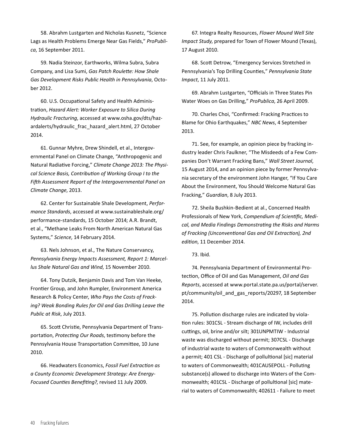58. Abrahm Lustgarten and Nicholas Kusnetz, "Science Lags as Health Problems Emerge Near Gas Fields," *ProPublica*, 16 September 2011.

59. Nadia Steinzor, Earthworks, Wilma Subra, Subra Company, and Lisa Sumi, *Gas Patch Roulette: How Shale Gas Development Risks Public Health in Pennsylvania*, October 2012.

60. U.S. Occupational Safety and Health Administration, *Hazard Alert: Worker Exposure to Silica During Hydraulic Fracturing*, accessed at www.osha.gov/dts/hazardalerts/hydraulic\_frac\_hazard\_alert.html, 27 October 2014.

61. Gunnar Myhre, Drew Shindell, et al., Intergovernmental Panel on Climate Change, "Anthropogenic and Natural Radiative Forcing," *Climate Change 2013: The Physical Science Basis, Contribution of Working Group I to the Fifth Assessment Report of the Intergovernmental Panel on Climate Change*, 2013.

62. Center for Sustainable Shale Development, *Performance Standards*, accessed at www.sustainableshale.org/ performance-standards, 15 October 2014; A.R. Brandt, et al., "Methane Leaks From North American Natural Gas Systems," *Science*, 14 February 2014.

63. Nels Johnson, et al., The Nature Conservancy, *Pennsylvania Energy Impacts Assessment, Report 1: Marcellus Shale Natural Gas and Wind*, 15 November 2010.

64. Tony Dutzik, Benjamin Davis and Tom Van Heeke, Frontier Group, and John Rumpler, Environment America Research & Policy Center, *Who Pays the Costs of Fracking? Weak Bonding Rules for Oil and Gas Drilling Leave the Public at Risk*, July 2013.

65. Scott Christie, Pennsylvania Department of Transportation, *Protecting Our Roads*, testimony before the Pennsylvania House Transportation Committee, 10 June 2010.

66. Headwaters Economics, *Fossil Fuel Extraction as a County Economic Development Strategy: Are Energy-Focused Counties Benefiting?*, revised 11 July 2009.

67. Integra Realty Resources, *Flower Mound Well Site Impact Study*, prepared for Town of Flower Mound (Texas), 17 August 2010.

68. Scott Detrow, "Emergency Services Stretched in Pennsylvania's Top Drilling Counties," *Pennsylvania State Impact*, 11 July 2011.

69. Abrahm Lustgarten, "Officials in Three States Pin Water Woes on Gas Drilling," *ProPublica*, 26 April 2009.

70. Charles Choi, "Confirmed: Fracking Practices to Blame for Ohio Earthquakes," *NBC News*, 4 September 2013.

71. See, for example, an opinion piece by fracking industry leader Chris Faulkner, "The Misdeeds of a Few Companies Don't Warrant Fracking Bans," *Wall Street Journal*, 15 August 2014, and an opinion piece by former Pennsylvania secretary of the environment John Hanger, "If You Care About the Environment, You Should Welcome Natural Gas Fracking," *Guardian*, 8 July 2013.

72. Sheila Bushkin-Bedient at al., Concerned Health Professionals of New York, *Compendium of Scientific, Medical, and Media Findings Demonstrating the Risks and Harms of Fracking (Unconventional Gas and Oil Extraction), 2nd edition*, 11 December 2014.

73. Ibid.

74. Pennsylvania Department of Environmental Protection, Office of Oil and Gas Management, *Oil and Gas Reports*, accessed at www.portal.state.pa.us/portal/server. pt/community/oil\_and\_gas\_reports/20297, 18 September 2014.

75. Pollution discharge rules are indicated by violation rules: 301CSL - Stream discharge of IW, includes drill cuttings, oil, brine and/or silt; 301UNPMTIW - Industrial waste was discharged without permit; 307CSL - Discharge of industrial waste to waters of Commonwealth without a permit; 401 CSL - Discharge of pollultional [sic] material to waters of Commonwealth; 401CAUSEPOLL - Polluting substance(s) allowed to discharge into Waters of the Commonwealth; 401CSL - Discharge of pollultional [sic] material to waters of Commonwealth; 402611 - Failure to meet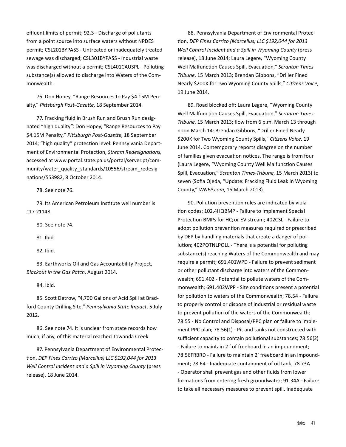effluent limits of permit; 92.3 - Discharge of pollutants from a point source into surface waters without NPDES permit; CSL201BYPASS - Untreated or inadequately treated sewage was discharged; CSL301BYPASS - Industrial waste was discharged without a permit; CSL401CAUSPL - Polluting substance(s) allowed to discharge into Waters of the Commonwealth.

76. Don Hopey, "Range Resources to Pay \$4.15M Penalty," *Pittsburgh Post-Gazette*, 18 September 2014.

77. Fracking fluid in Brush Run and Brush Run designated "high quality": Don Hopey, "Range Resources to Pay \$4.15M Penalty," *Pittsburgh Post-Gazette*, 18 September 2014; "high quality" protection level: Pennsylvania Department of Environmental Protection, *Stream Redesignations,* accessed at www.portal.state.pa.us/portal/server.pt/community/water\_quality\_standards/10556/stream\_redesignations/553982, 8 October 2014.

78. See note 76.

79. Its American Petroleum Institute well number is 117-21148.

80. See note 74.

81. Ibid.

82. Ibid.

83. Earthworks Oil and Gas Accountability Project, *Blackout in the Gas Patch*, August 2014.

84. Ibid.

85. Scott Detrow, "4,700 Gallons of Acid Spill at Bradford County Drilling Site," *Pennsylvania State Impact*, 5 July 2012.

86. See note 74. It is unclear from state records how much, if any, of this material reached Towanda Creek.

87. Pennsylvania Department of Environmental Protection, *DEP Fines Carrizo (Marcellus) LLC \$192,044 for 2013 Well Control Incident and a Spill in Wyoming County* (press release), 18 June 2014.

88. Pennsylvania Department of Environmental Protection, *DEP Fines Carrizo (Marcellus) LLC \$192,044 for 2013 Well Control Incident and a Spill in Wyoming County* (press release), 18 June 2014; Laura Legere, "Wyoming County Well Malfunction Causes Spill, Evacuation," *Scranton Times-Tribune*, 15 March 2013; Brendan Gibbons, "Driller Fined Nearly \$200K for Two Wyoming County Spills," *Citizens Voice*, 19 June 2014.

89. Road blocked off: Laura Legere, "Wyoming County Well Malfunction Causes Spill, Evacuation," *Scranton Times-Tribune*, 15 March 2013; flow from 6 p.m. March 13 through noon March 14: Brendan Gibbons, "Driller Fined Nearly \$200K for Two Wyoming County Spills," *Citizens Voice*, 19 June 2014. Contemporary reports disagree on the number of families given evacuation notices. The range is from four (Laura Legere, "Wyoming County Well Malfunction Causes Spill, Evacuation," *Scranton Times-Tribune*, 15 March 2013) to seven (Sofia Ojeda, "Update: Fracking Fluid Leak in Wyoming County," *WNEP.com*, 15 March 2013).

90. Pollution prevention rules are indicated by violation codes: 102.4HQBMP - Failure to implement Special Protection BMPs for HQ or EV stream; 402CSL - Failure to adopt pollution prevention measures required or prescribed by DEP by handling materials that create a danger of pollution; 402POTNLPOLL - There is a potential for polluting substance(s) reaching Waters of the Commonwealth and may require a permit; 691.401WPD - Failure to prevent sediment or other pollutant discharge into waters of the Commonwealth; 691.402 - Potential to pollute waters of the Commonwealth; 691.402WPP - Site conditions present a potential for pollution to waters of the Commonwealth; 78.54 - Failure to properly control or dispose of industrial or residual waste to prevent pollution of the waters of the Commonwealth; 78.55 - No Control and Disposal/PPC plan or failure to implement PPC plan; 78.56(1) - Pit and tanks not constructed with sufficient capacity to contain pollutional substances; 78.56(2) - Failure to maintain 2 ' of freeboard in an impoundment; 78.56FRBRD - Failure to maintain 2' freeboard in an impoundment; 78.64 - Inadequate containment of oil tank; 78.73A - Operator shall prevent gas and other fluids from lower formations from entering fresh groundwater; 91.34A - Failure to take all necessary measures to prevent spill. Inadequate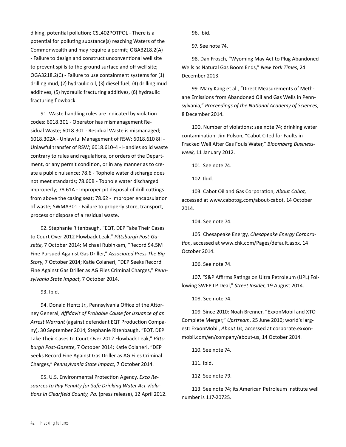diking, potential pollution; CSL402POTPOL - There is a potential for polluting substance(s) reaching Waters of the Commonwealth and may require a permit; OGA3218.2(A) - Failure to design and construct unconventional well site to prevent spills to the ground surface and off well site; OGA3218.2(C) - Failure to use containment systems for (1) drilling mud, (2) hydraulic oil, (3) diesel fuel, (4) drilling mud additives, (5) hydraulic fracturing additives, (6) hydraulic fracturing flowback.

91. Waste handling rules are indicated by violation codes: 6018.301 - Operator has mismanagement Residual Waste; 6018.301 - Residual Waste is mismanaged; 6018.302A - Unlawful Management of RSW; 6018.610 8II - Unlawful transfer of RSW; 6018.610-4 - Handles solid waste contrary to rules and regulations, or orders of the Department, or any permit condition, or in any manner as to create a public nuisance; 78.6 - Tophole water discharge does not meet standards; 78.60B - Tophole water discharged improperly; 78.61A - Improper pit disposal of drill cuttings from above the casing seat; 78.62 - Improper encapsulation of waste; SWMA301 - Failure to properly store, transport, process or dispose of a residual waste.

92. Stephanie Ritenbaugh, "EQT, DEP Take Their Cases to Court Over 2012 Flowback Leak," *Pittsburgh Post-Gazette*, 7 October 2014; Michael Rubinkam, "Record \$4.5M Fine Pursued Against Gas Driller," *Associated Press The Big Story*, 7 October 2014; Katie Colaneri, "DEP Seeks Record Fine Against Gas Driller as AG Files Criminal Charges," *Pennsylvania State Impact*, 7 October 2014.

93. Ibid.

94. Donald Hentz Jr., Pennsylvania Office of the Attorney General, *Affidavit of Probable Cause for Issuance of an Arrest Warrant* (against defendant EQT Production Company), 30 September 2014; Stephanie Ritenbaugh, "EQT, DEP Take Their Cases to Court Over 2012 Flowback Leak," *Pittsburgh Post-Gazette*, 7 October 2014; Katie Colaneri, "DEP Seeks Record Fine Against Gas Driller as AG Files Criminal Charges," *Pennsylvania State Impact*, 7 October 2014.

95. U.S. Environmental Protection Agency, *Exco Resources to Pay Penalty for Safe Drinking Water Act Violations in Clearfield County, Pa.* (press release), 12 April 2012. 96. Ibid.

97. See note 74.

98. Dan Frosch, "Wyoming May Act to Plug Abandoned Wells as Natural Gas Boom Ends," *New York Times*, 24 December 2013.

99. Mary Kang et al., "Direct Measurements of Methane Emissions from Abandoned Oil and Gas Wells in Pennsylvania," *Proceedings of the National Academy of Sciences*, 8 December 2014.

100. Number of violations: see note 74; drinking water contamination: Jim Polson, "Cabot Cited for Faults in Fracked Well After Gas Fouls Water," *Bloomberg Businessweek*, 11 January 2012.

101. See note 74.

102. Ibid.

103. Cabot Oil and Gas Corporation, *About Cabot,* accessed at www.cabotog.com/about-cabot, 14 October 2014.

104. See note 74.

105. Chesapeake Energy, *Chesapeake Energy Corporation*, accessed at www.chk.com/Pages/default.aspx, 14 October 2014.

106. See note 74.

107. "S&P Affirms Ratings on Ultra Petroleum (UPL) Following SWEP LP Deal," *Street Insider*, 19 August 2014.

108. See note 74.

109. Since 2010: Noah Brenner, "ExxonMobil and XTO Complete Merger," *Upstream*, 25 June 2010; world's largest: ExxonMobil, *About Us,* accessed at corporate.exxonmobil.com/en/company/about-us, 14 October 2014.

110. See note 74.

111. Ibid.

112. See note 79.

113. See note 74; its American Petroleum Institute well number is 117-20725.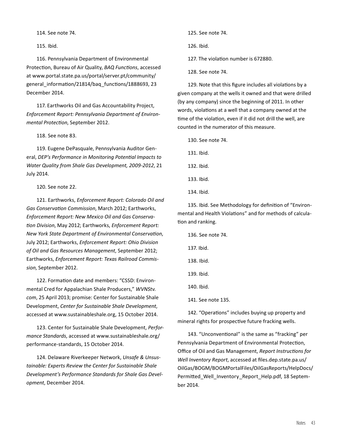114. See note 74.

115. Ibid.

116. Pennsylvania Department of Environmental Protection, Bureau of Air Quality, *BAQ Functions*, accessed at www.portal.state.pa.us/portal/server.pt/community/ general information/21814/baq functions/1888693, 23 December 2014.

117. Earthworks Oil and Gas Accountability Project, *Enforcement Report: Pennsylvania Department of Environmental Protection*, September 2012.

118. See note 83.

119. Eugene DePasquale, Pennsylvania Auditor General, *DEP's Performance in Monitoring Potential Impacts to Water Quality from Shale Gas Development, 2009-2012*, 21 July 2014.

120. See note 22.

121. Earthworks, *Enforcement Report: Colorado Oil and Gas Conservation Commission*, March 2012; Earthworks, *Enforcement Report: New Mexico Oil and Gas Conservation Division*, May 2012; Earthworks, *Enforcement Report: New York State Department of Environmental Conservation*, July 2012; Earthworks, *Enforcement Report: Ohio Division of Oil and Gas Resources Management*, September 2012; Earthworks, *Enforcement Report: Texas Railroad Commission*, September 2012.

122. Formation date and members: "CSSD: Environmental Cred for Appalachian Shale Producers," *WVNStv. com*, 25 April 2013; promise: Center for Sustainable Shale Development, *Center for Sustainable Shale Development*, accessed at www.sustainableshale.org, 15 October 2014.

123. Center for Sustainable Shale Development, *Performance Standards*, accessed at www.sustainableshale.org/ performance-standards, 15 October 2014.

124. Delaware Riverkeeper Network, *Unsafe & Unsustainable: Experts Review the Center for Sustainable Shale Development's Performance Standards for Shale Gas Development*, December 2014.

125. See note 74.

126. Ibid.

127. The violation number is 672880.

128. See note 74.

129. Note that this figure includes all violations by a given company at the wells it owned and that were drilled (by any company) since the beginning of 2011. In other words, violations at a well that a company owned at the time of the violation, even if it did not drill the well, are counted in the numerator of this measure.

130. See note 74.

131. Ibid.

132. Ibid.

133. Ibid.

134. Ibid.

135. Ibid. See Methodology for definition of "Environmental and Health Violations" and for methods of calculation and ranking.

136. See note 74. 137. Ibid. 138. Ibid. 139. Ibid. 140. Ibid. 141. See note 135.

142. "Operations" includes buying up property and mineral rights for prospective future fracking wells.

143. "Unconventional" is the same as "fracking" per Pennsylvania Department of Environmental Protection, Office of Oil and Gas Management, *Report Instructions for Well Inventory Report*, accessed at files.dep.state.pa.us/ OilGas/BOGM/BOGMPortalFiles/OilGasReports/HelpDocs/ Permitted Well Inventory Report Help.pdf, 18 September 2014.